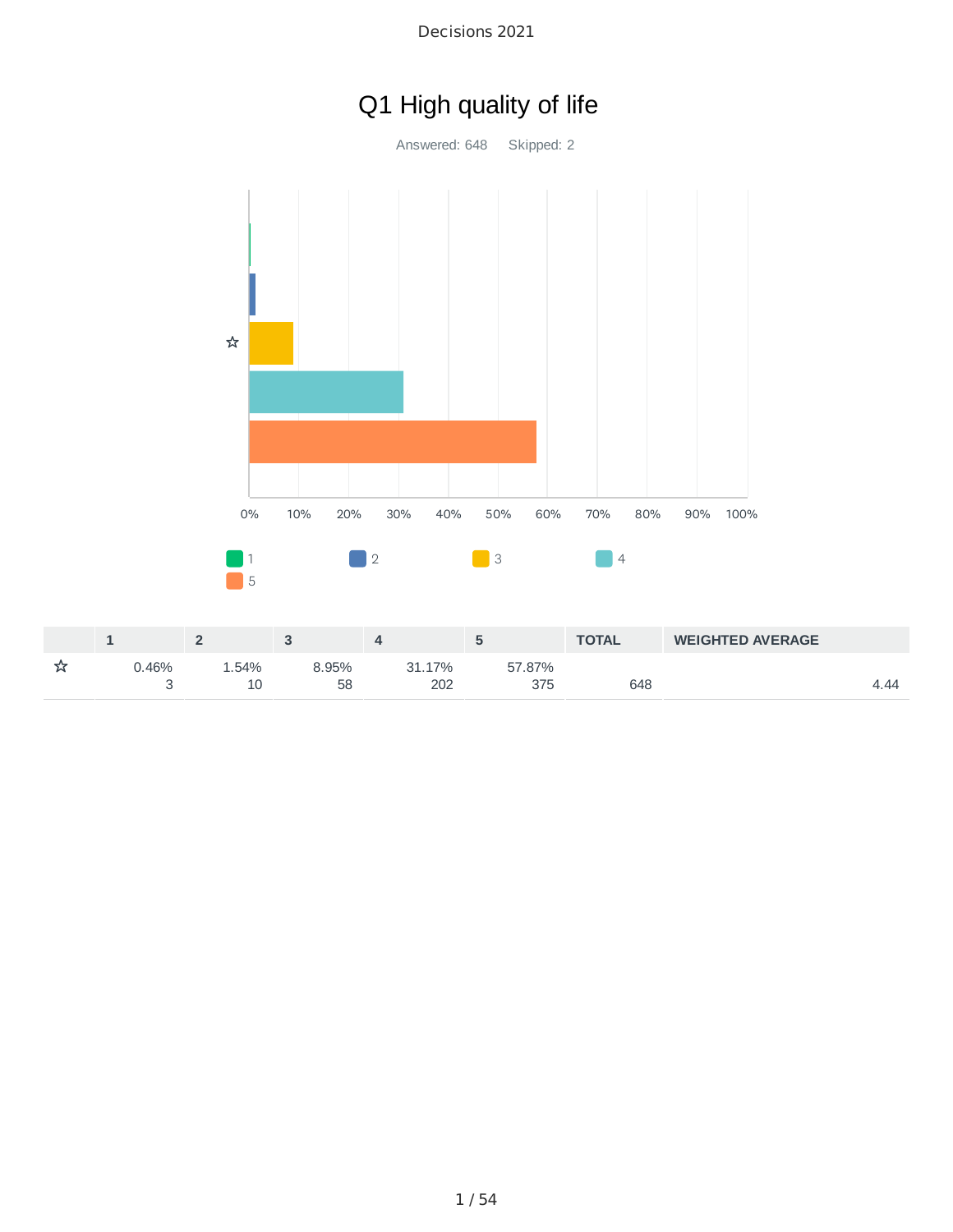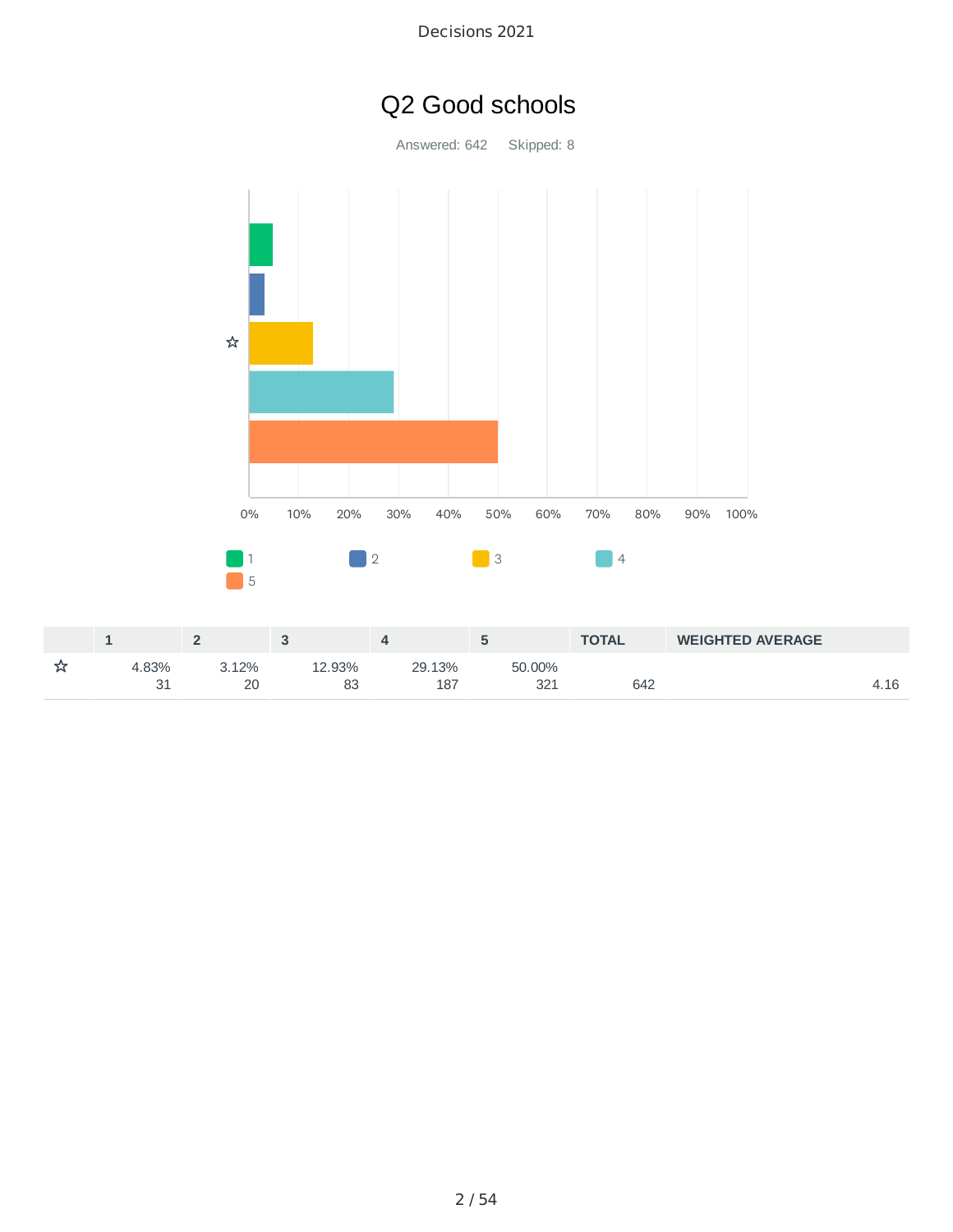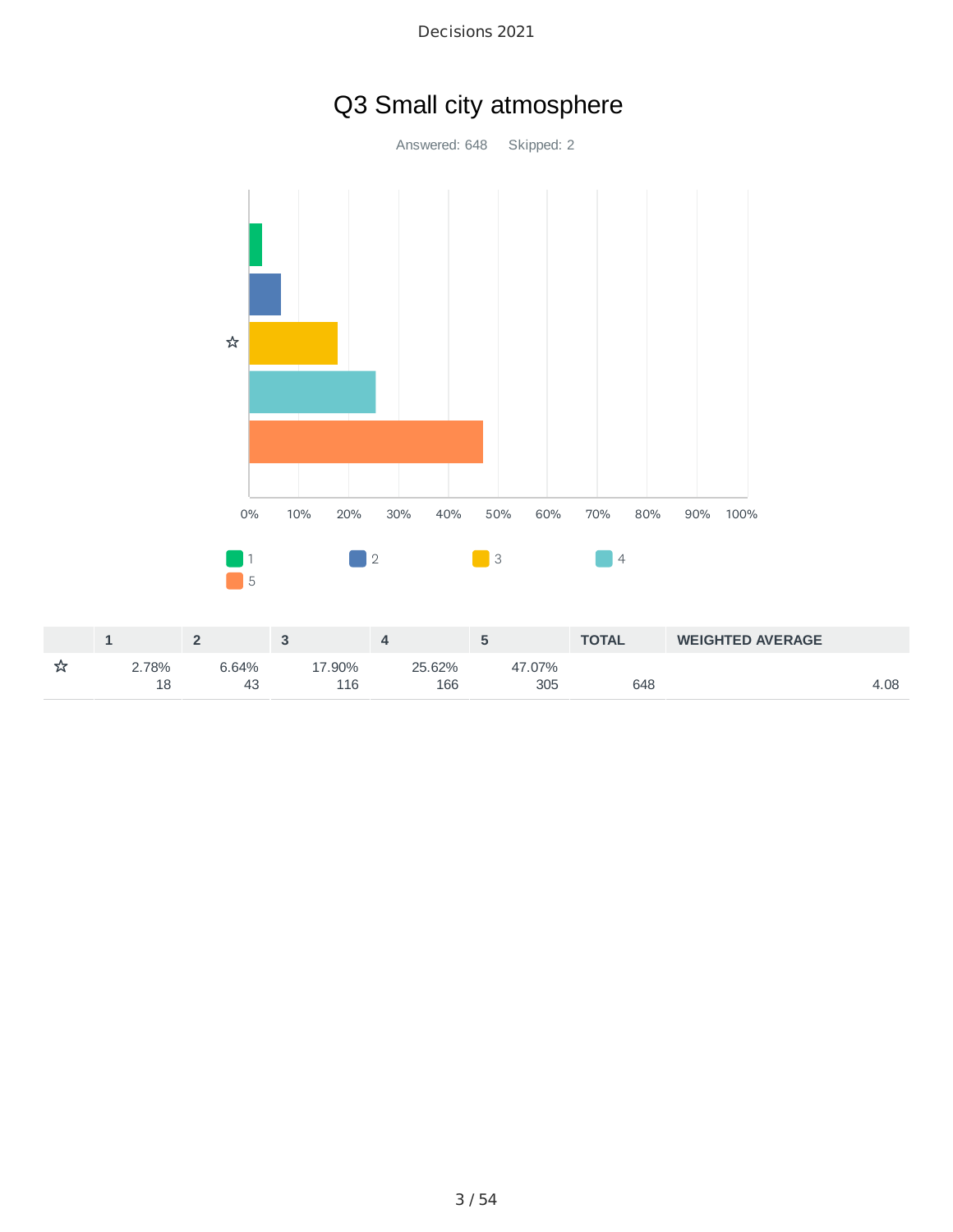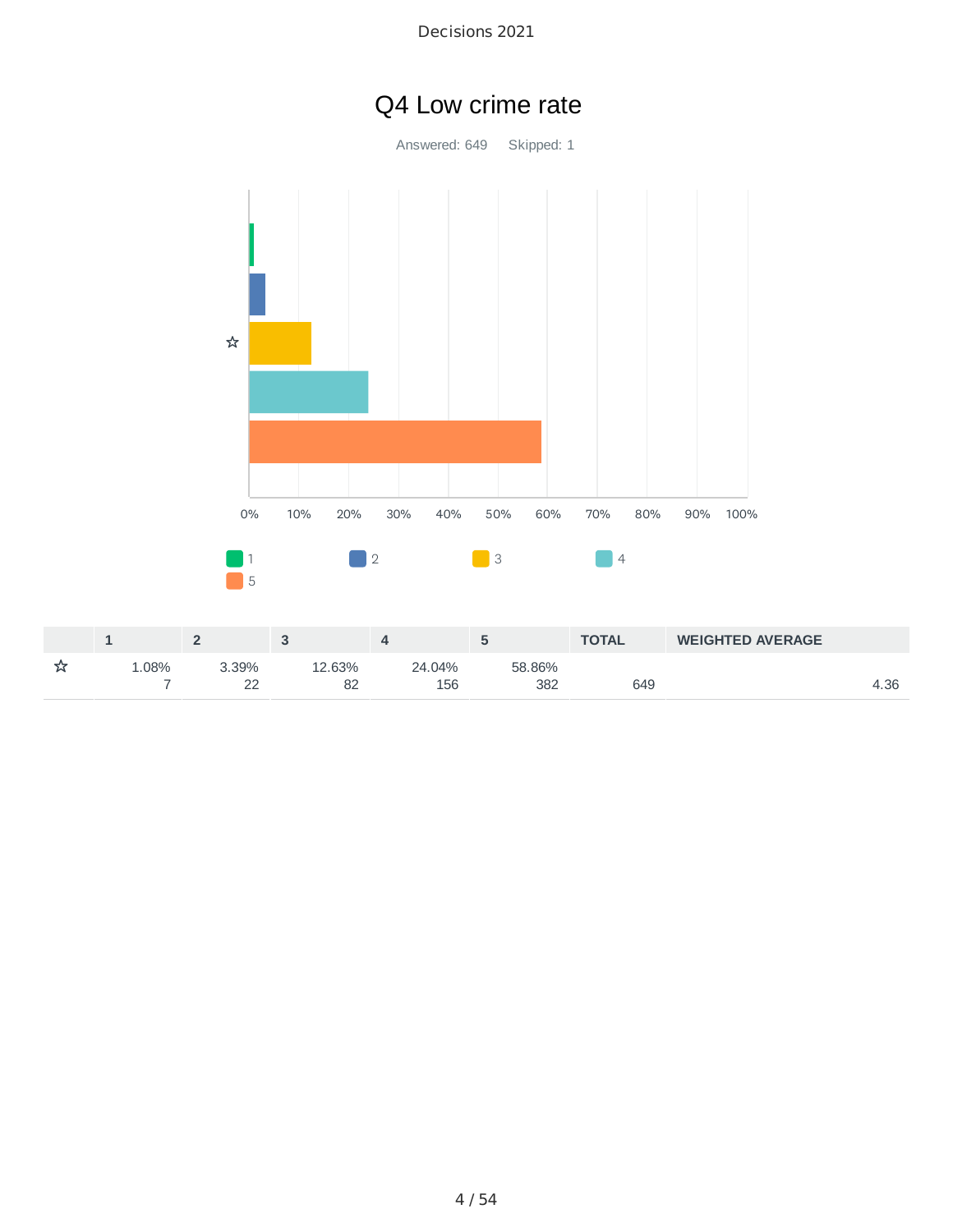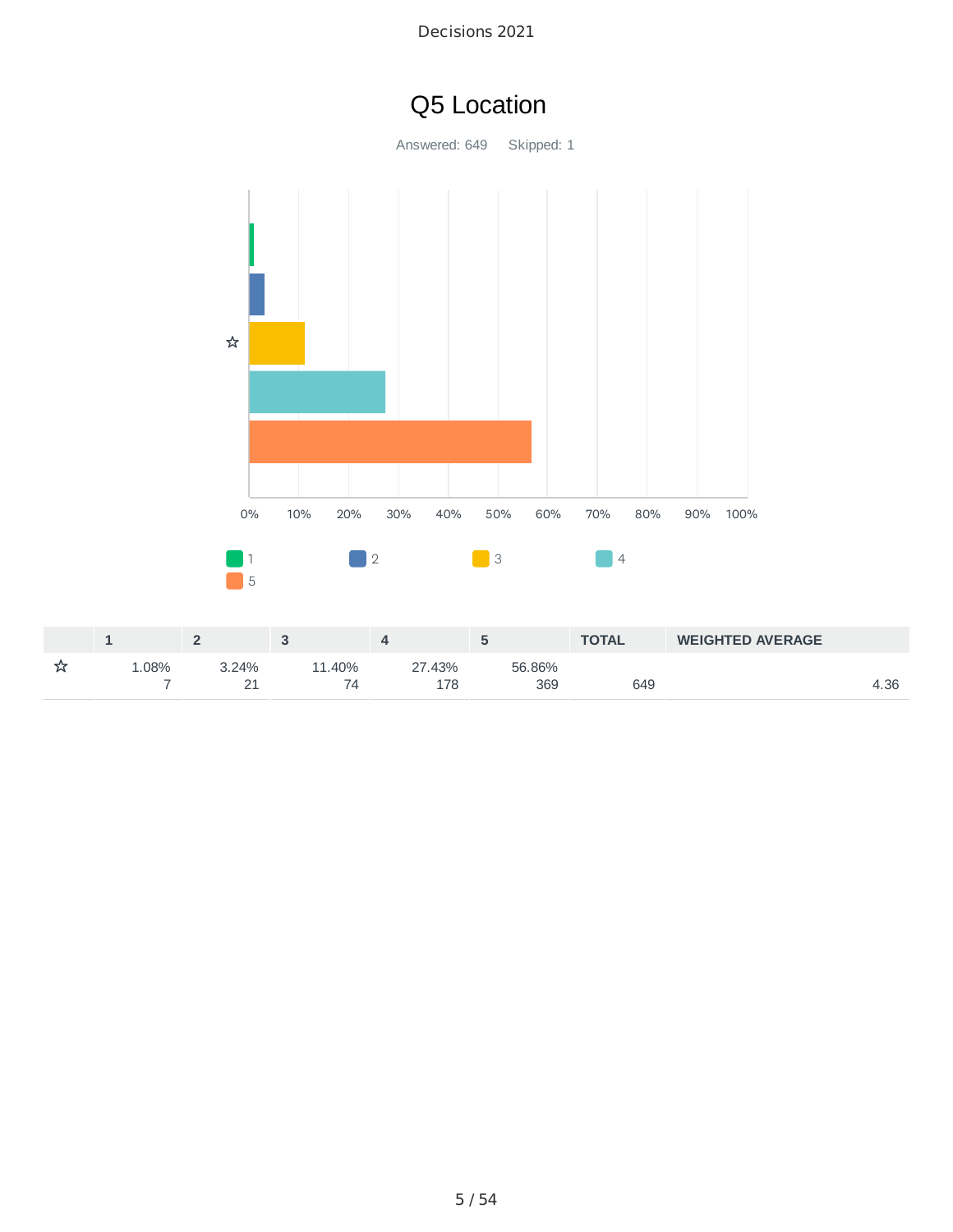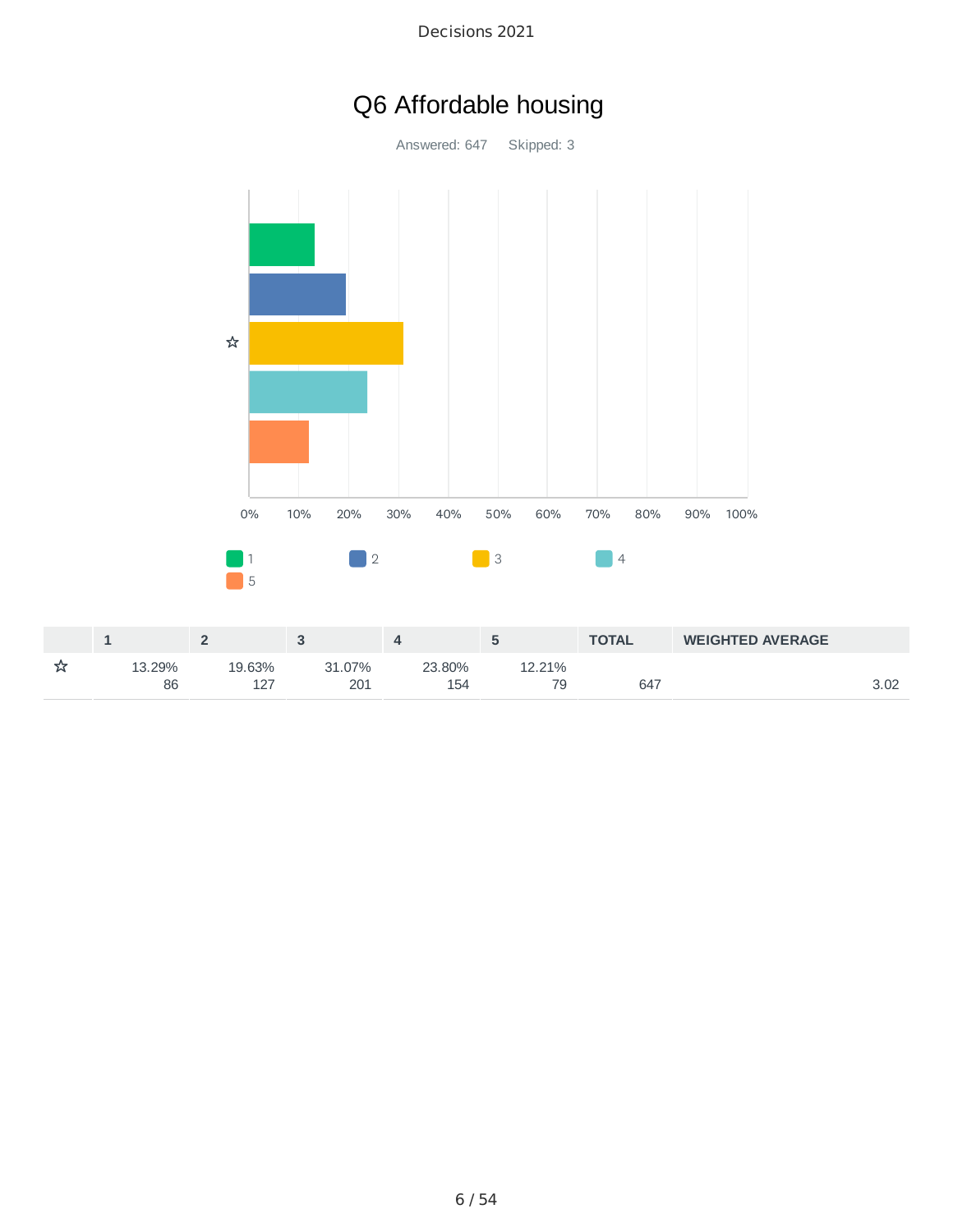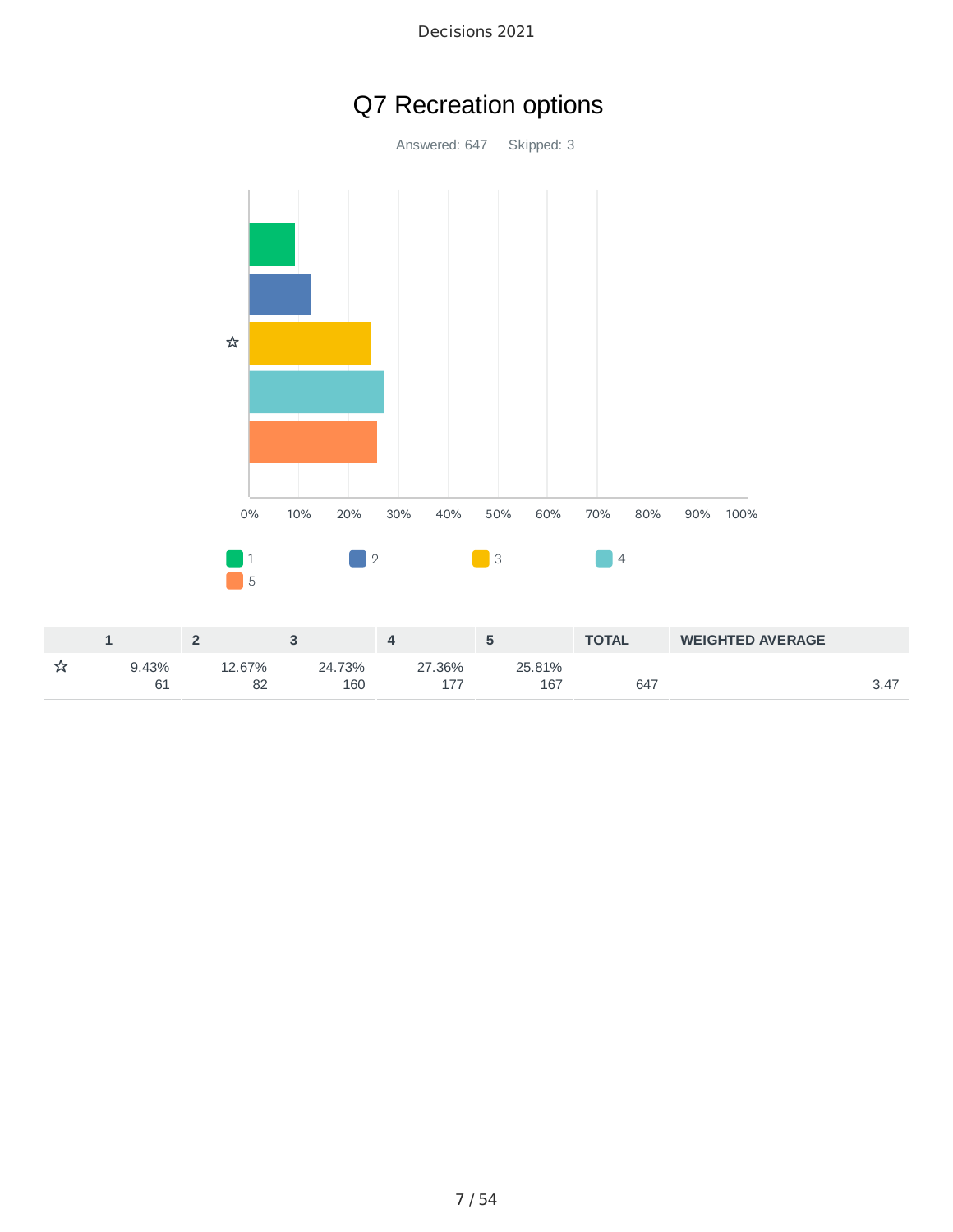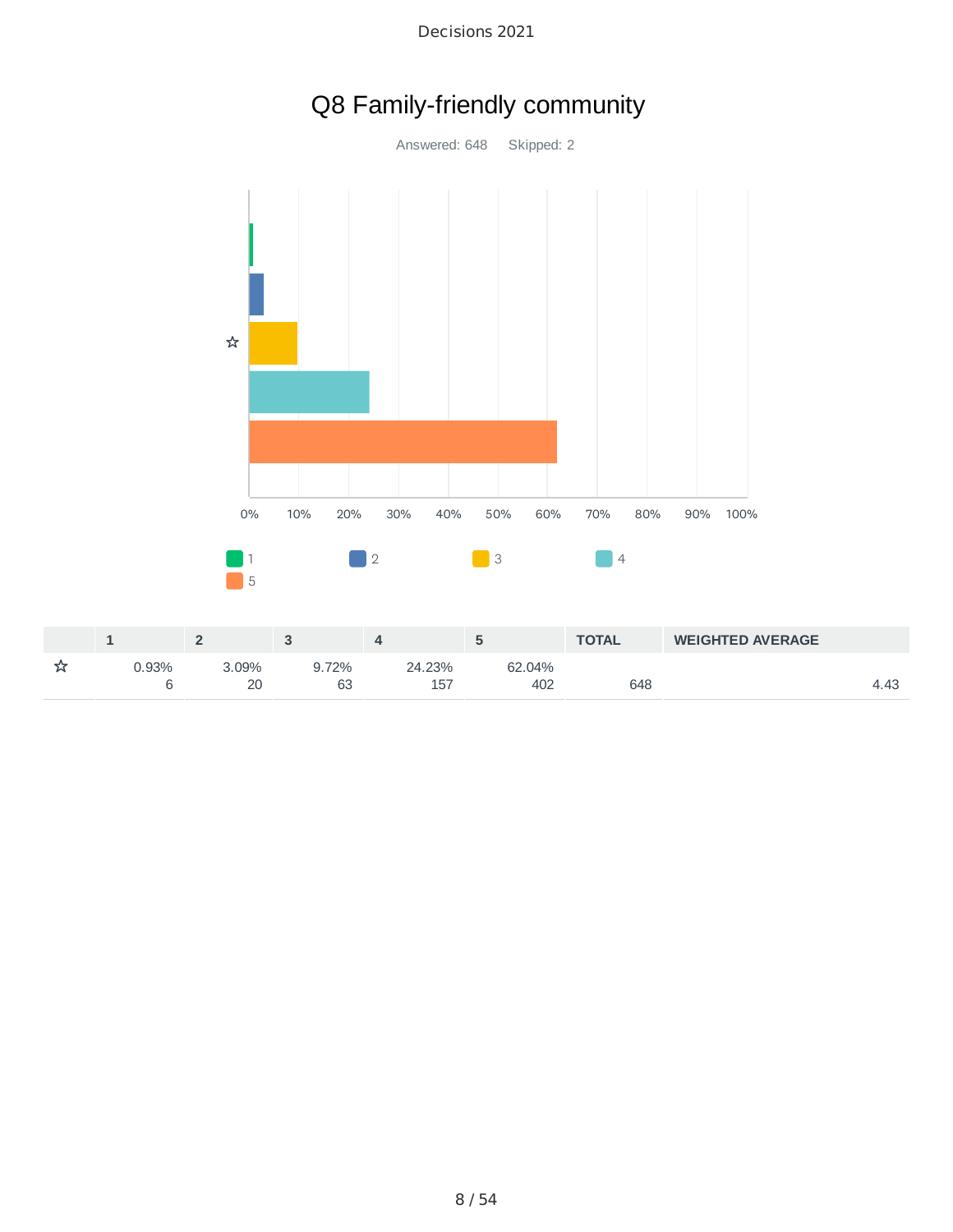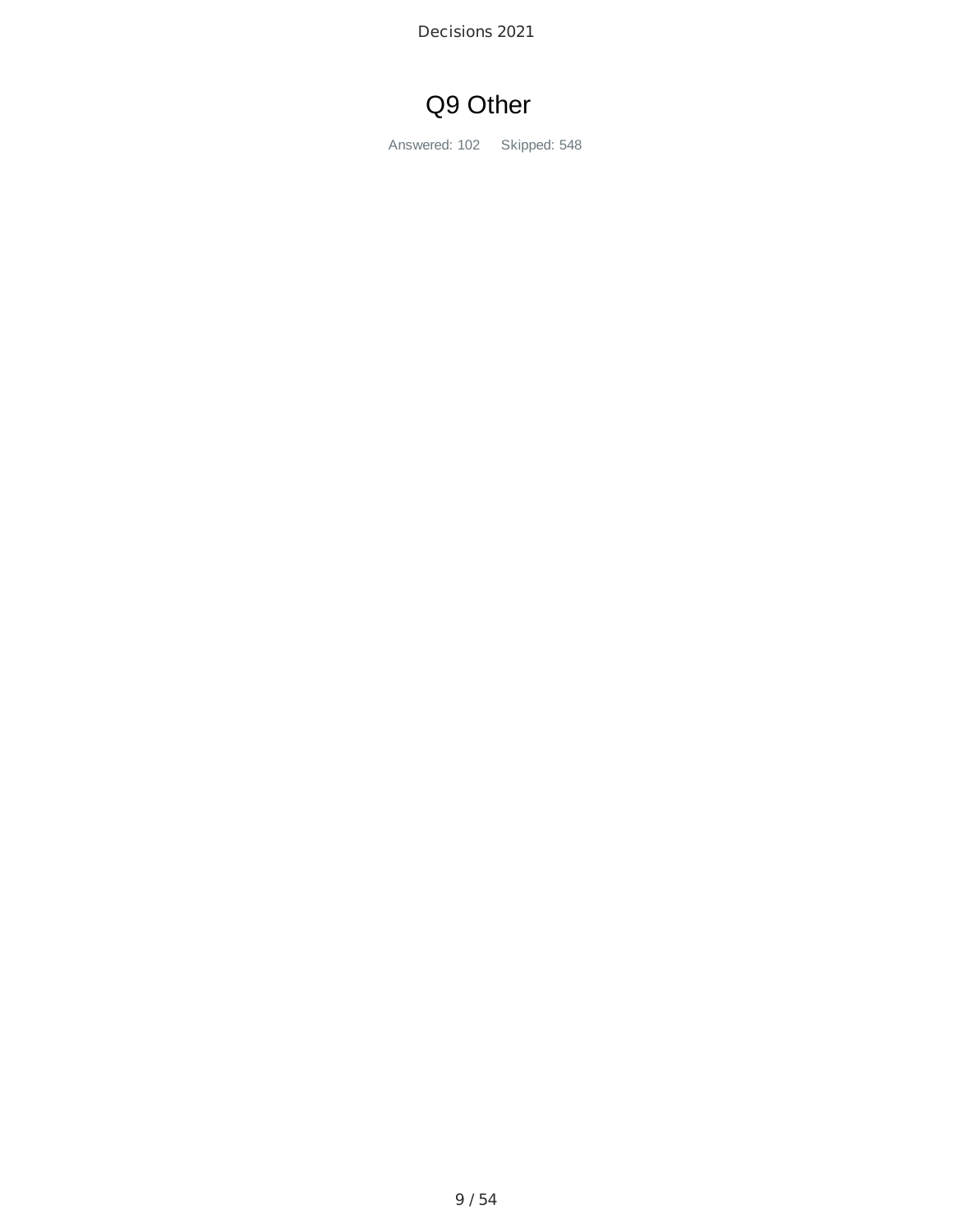# Q9 Other

Answered: 102 Skipped: 548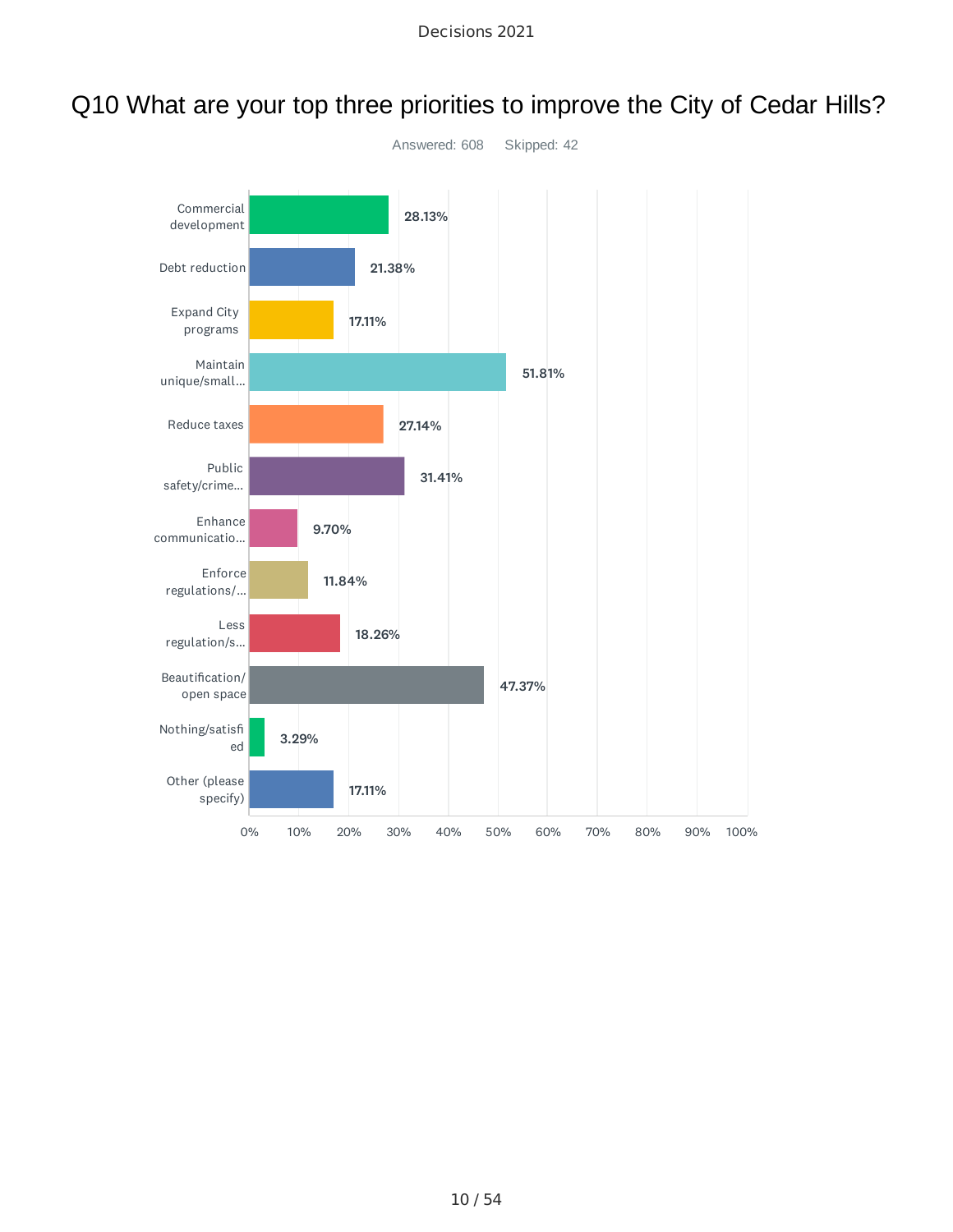

# Q10 What are your top three priorities to improve the City of Cedar Hills?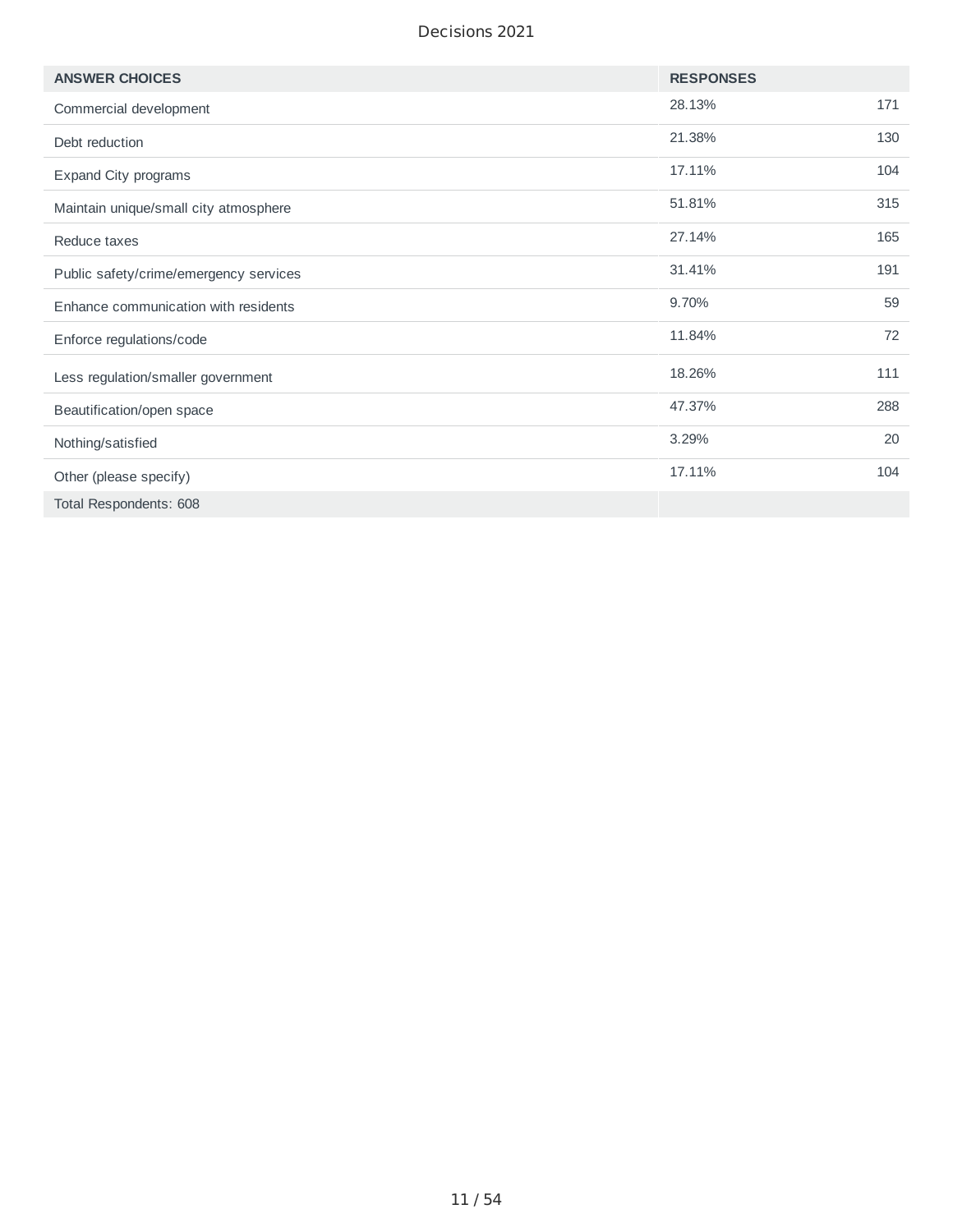| <b>ANSWER CHOICES</b>                  | <b>RESPONSES</b> |     |
|----------------------------------------|------------------|-----|
| Commercial development                 | 28.13%           | 171 |
| Debt reduction                         | 21.38%           | 130 |
| Expand City programs                   | 17.11%           | 104 |
| Maintain unique/small city atmosphere  | 51.81%           | 315 |
| Reduce taxes                           | 27.14%           | 165 |
| Public safety/crime/emergency services | 31.41%           | 191 |
| Enhance communication with residents   | 9.70%            | 59  |
| Enforce regulations/code               | 11.84%           | 72  |
| Less regulation/smaller government     | 18.26%           | 111 |
| Beautification/open space              | 47.37%           | 288 |
| Nothing/satisfied                      | 3.29%            | 20  |
| Other (please specify)                 | 17.11%           | 104 |
| Total Respondents: 608                 |                  |     |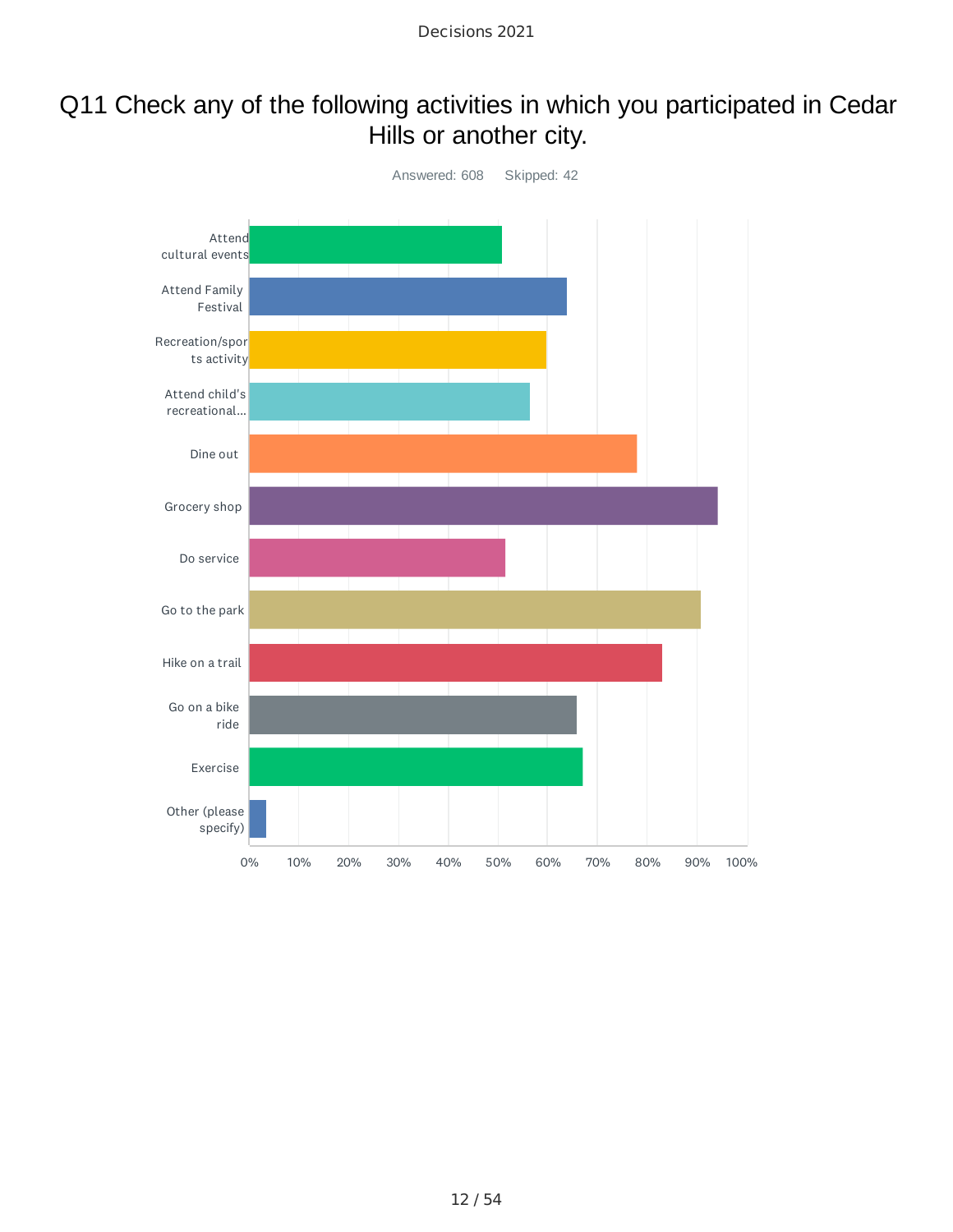# Q11 Check any of the following activities in which you participated in Cedar Hills or another city.

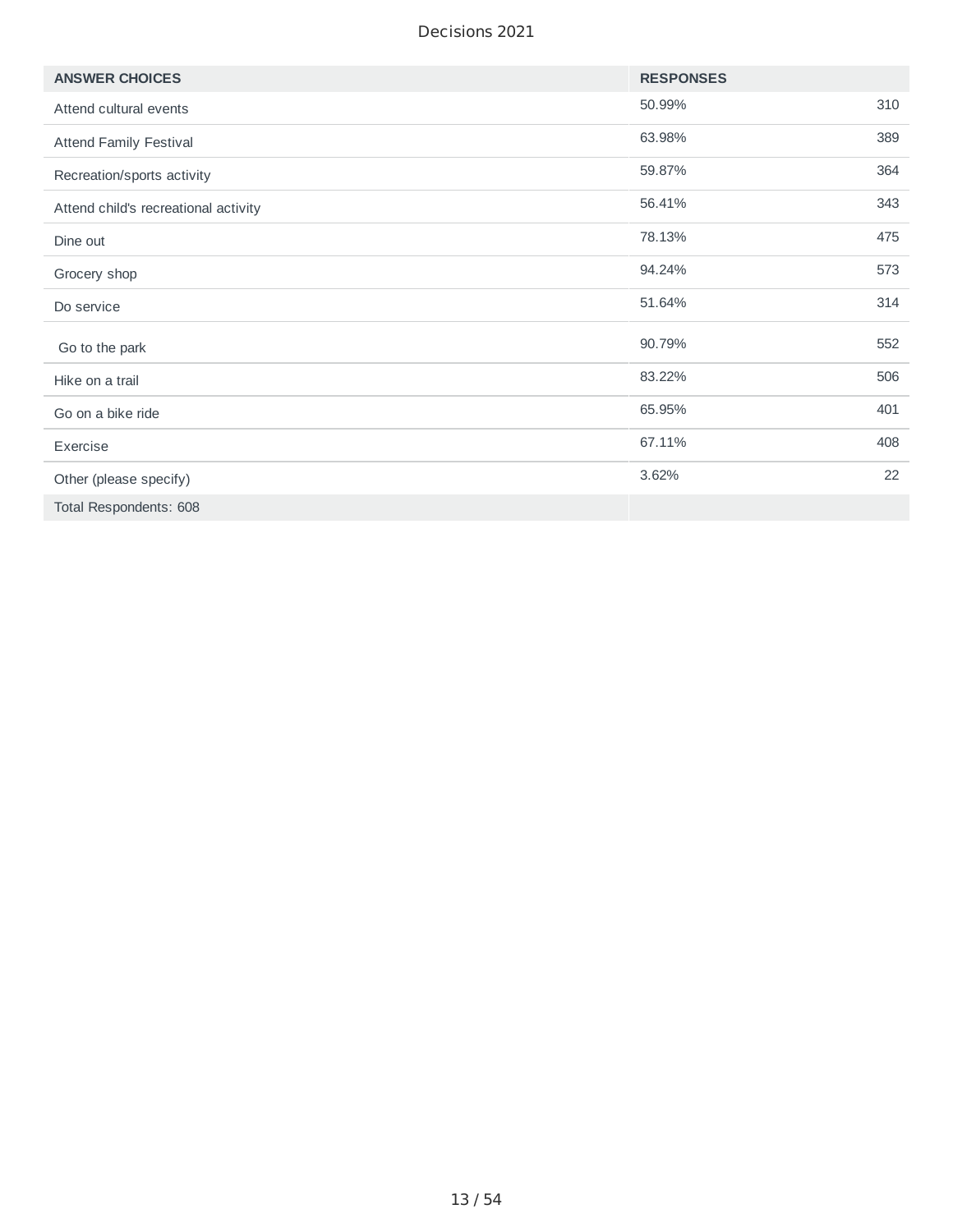| <b>ANSWER CHOICES</b>                | <b>RESPONSES</b> |     |
|--------------------------------------|------------------|-----|
| Attend cultural events               | 50.99%           | 310 |
| <b>Attend Family Festival</b>        | 63.98%           | 389 |
| Recreation/sports activity           | 59.87%           | 364 |
| Attend child's recreational activity | 56.41%           | 343 |
| Dine out                             | 78.13%           | 475 |
| Grocery shop                         | 94.24%           | 573 |
| Do service                           | 51.64%           | 314 |
| Go to the park                       | 90.79%           | 552 |
| Hike on a trail                      | 83.22%           | 506 |
| Go on a bike ride                    | 65.95%           | 401 |
| Exercise                             | 67.11%           | 408 |
| Other (please specify)               | 3.62%            | 22  |
| Total Respondents: 608               |                  |     |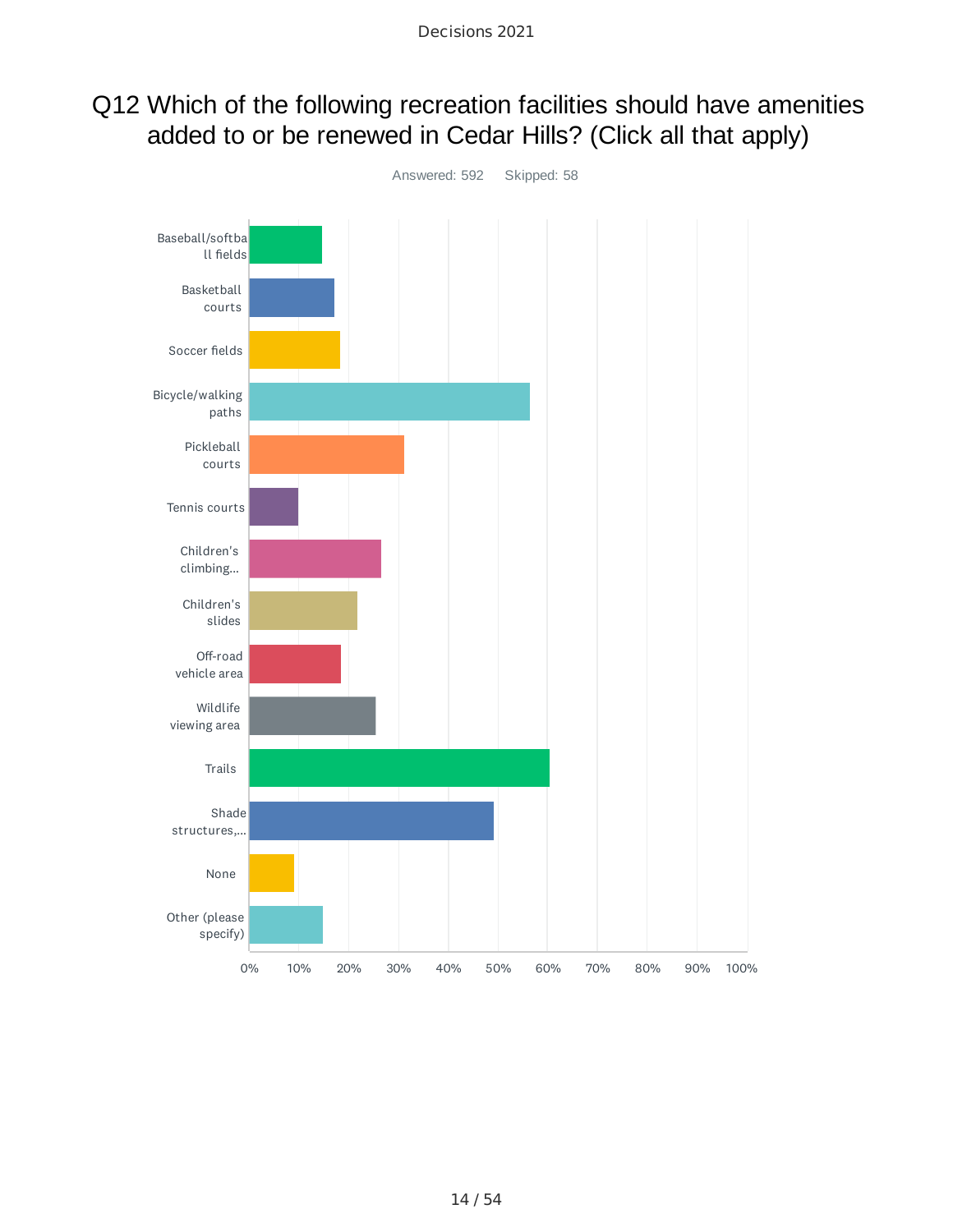## Q12 Which of the following recreation facilities should have amenities added to or be renewed in Cedar Hills? (Click all that apply)

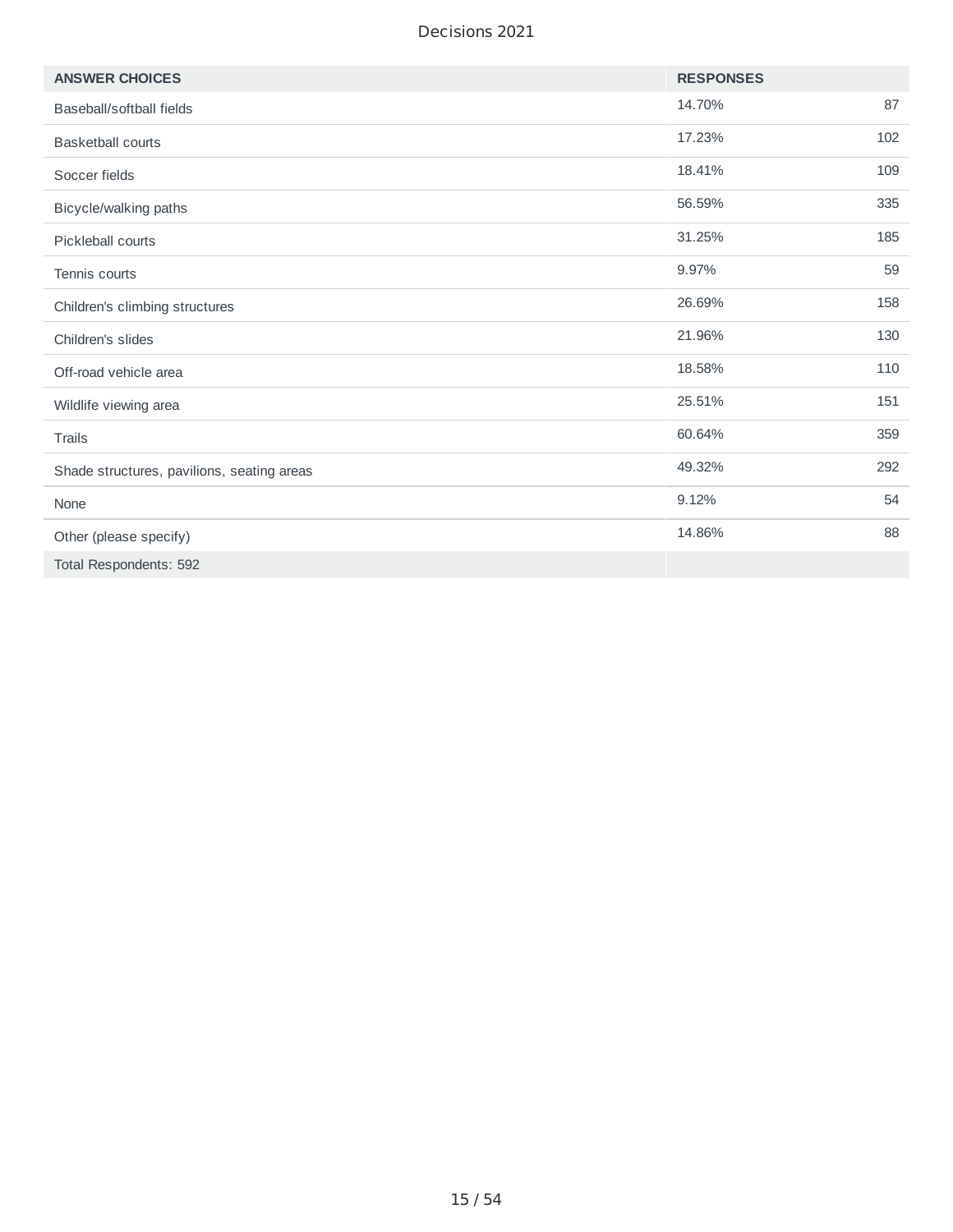| <b>ANSWER CHOICES</b>                      | <b>RESPONSES</b> |     |
|--------------------------------------------|------------------|-----|
| Baseball/softball fields                   | 14.70%           | 87  |
| <b>Basketball courts</b>                   | 17.23%           | 102 |
| Soccer fields                              | 18.41%           | 109 |
| Bicycle/walking paths                      | 56.59%           | 335 |
| Pickleball courts                          | 31.25%           | 185 |
| Tennis courts                              | 9.97%            | 59  |
| Children's climbing structures             | 26.69%           | 158 |
| Children's slides                          | 21.96%           | 130 |
| Off-road vehicle area                      | 18.58%           | 110 |
| Wildlife viewing area                      | 25.51%           | 151 |
| Trails                                     | 60.64%           | 359 |
| Shade structures, pavilions, seating areas | 49.32%           | 292 |
| None                                       | 9.12%            | 54  |
| Other (please specify)                     | 14.86%           | 88  |
| Total Respondents: 592                     |                  |     |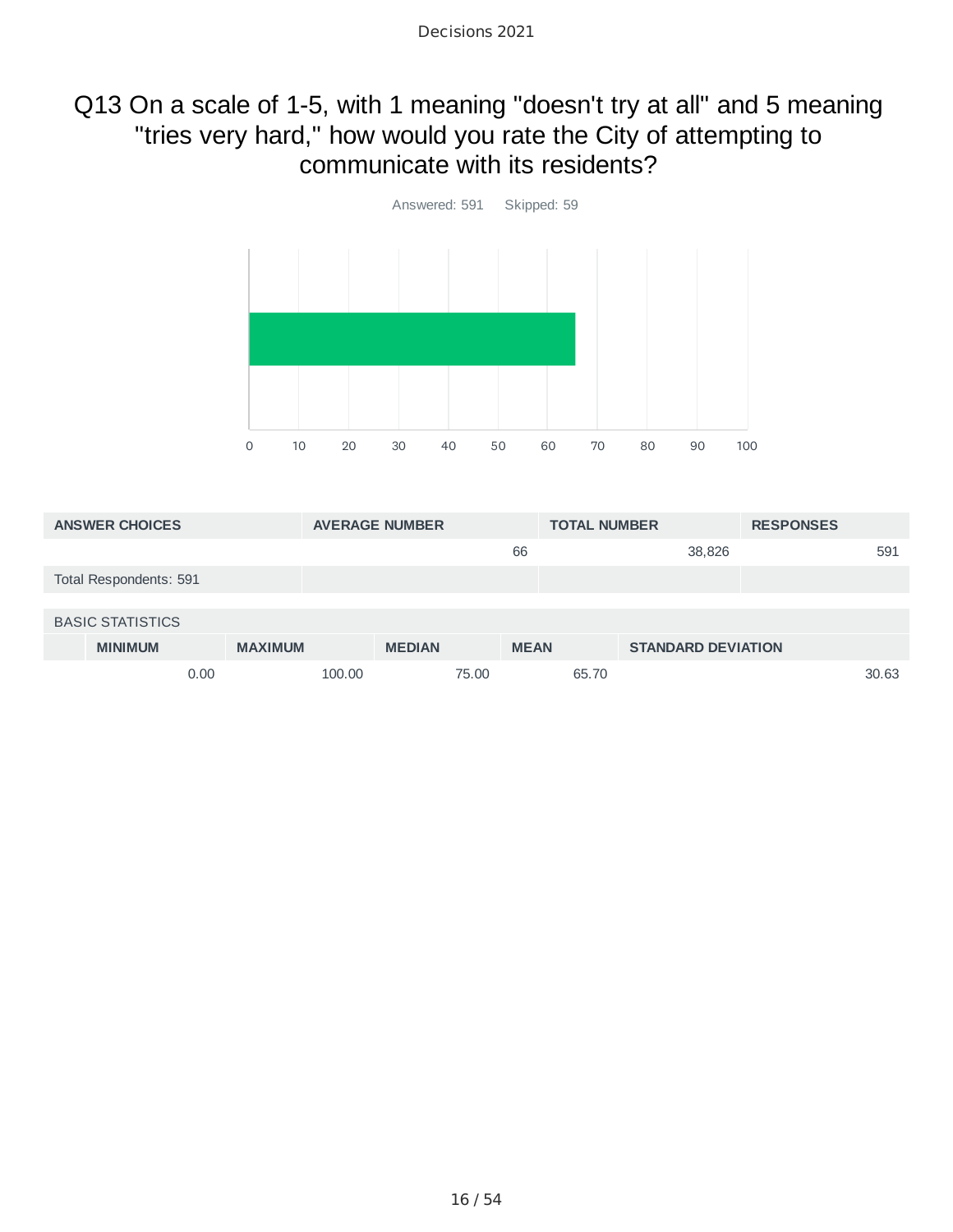### Q13 On a scale of 1-5, with 1 meaning "doesn't try at all" and 5 meaning "tries very hard," how would you rate the City of attempting to communicate with its residents?



| <b>ANSWER CHOICES</b>   |                |        | <b>AVERAGE NUMBER</b> |       |             | <b>TOTAL NUMBER</b> |                           | <b>RESPONSES</b> |       |
|-------------------------|----------------|--------|-----------------------|-------|-------------|---------------------|---------------------------|------------------|-------|
|                         |                |        |                       |       | 66          |                     | 38,826                    |                  | 591   |
| Total Respondents: 591  |                |        |                       |       |             |                     |                           |                  |       |
|                         |                |        |                       |       |             |                     |                           |                  |       |
| <b>BASIC STATISTICS</b> |                |        |                       |       |             |                     |                           |                  |       |
| <b>MINIMUM</b>          | <b>MAXIMUM</b> |        | <b>MEDIAN</b>         |       | <b>MEAN</b> |                     | <b>STANDARD DEVIATION</b> |                  |       |
| 0.00                    |                | 100.00 |                       | 75.00 |             | 65.70               |                           |                  | 30.63 |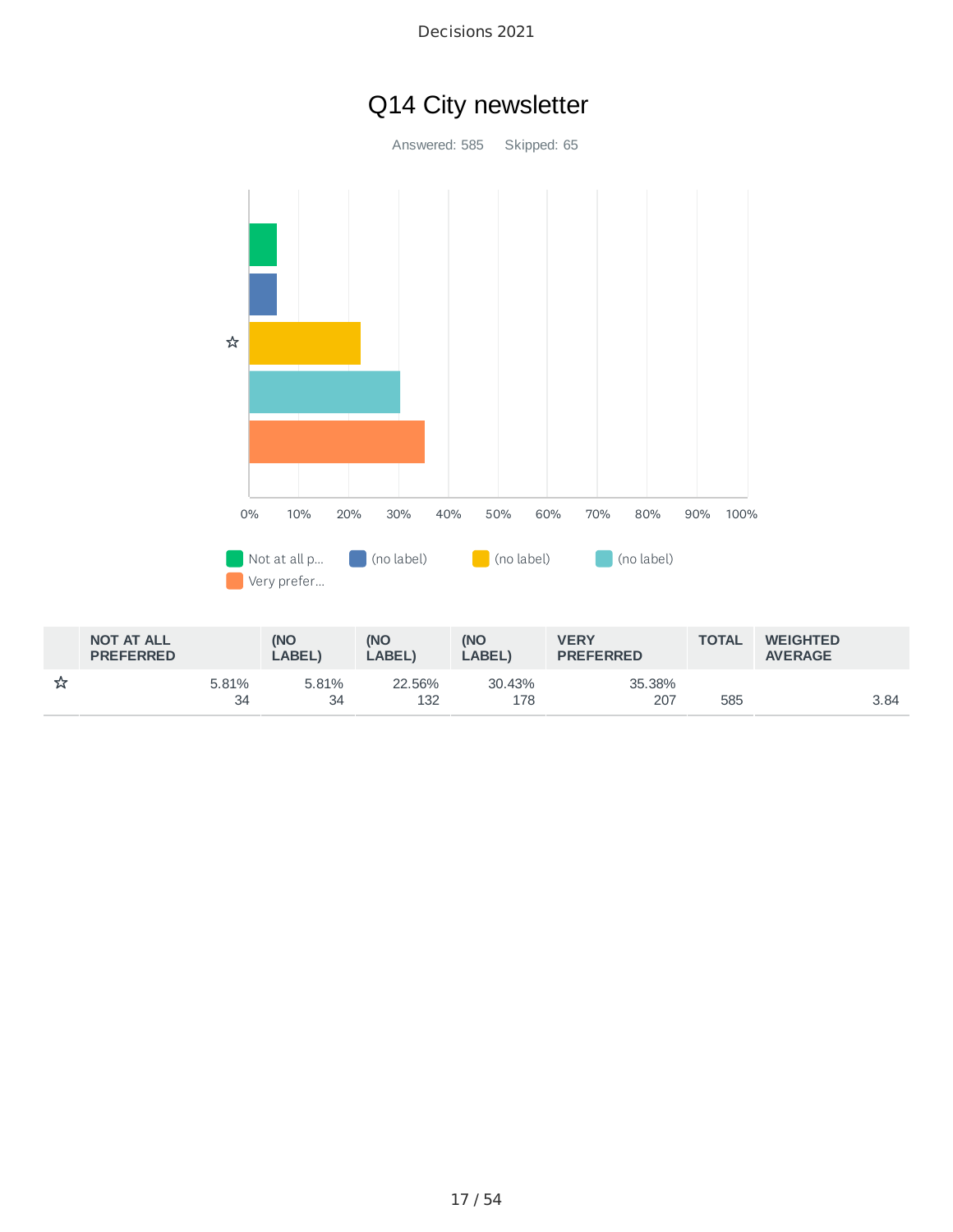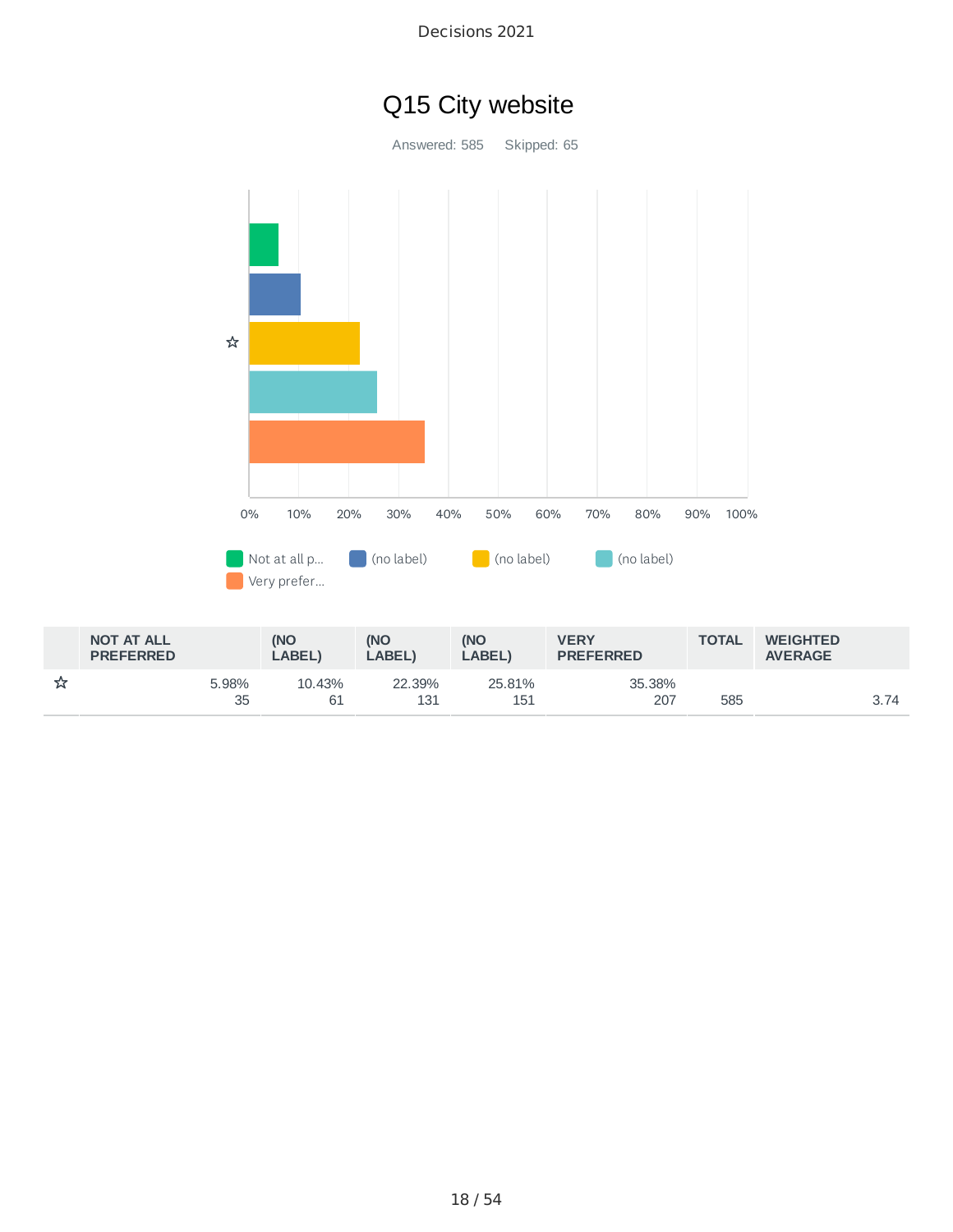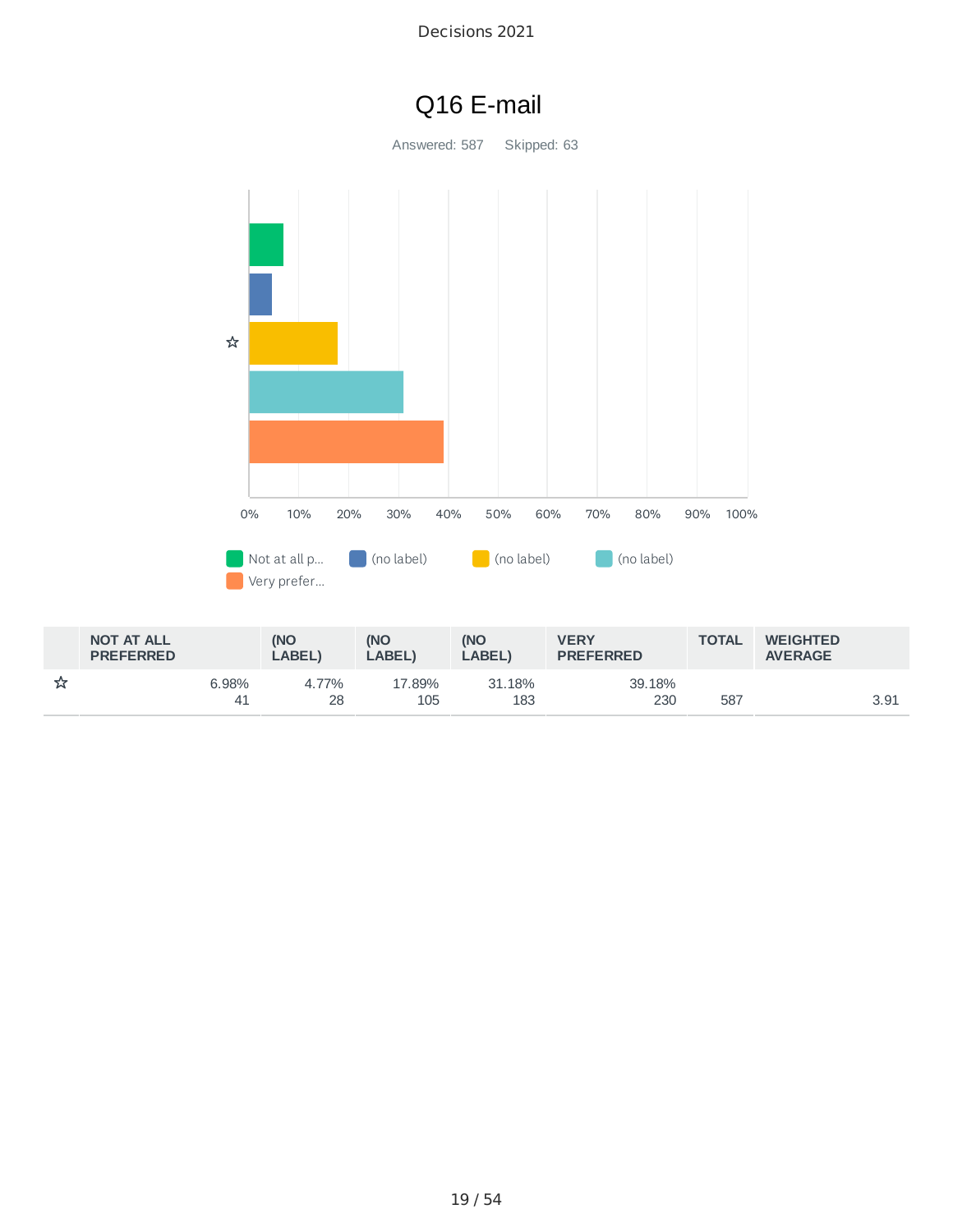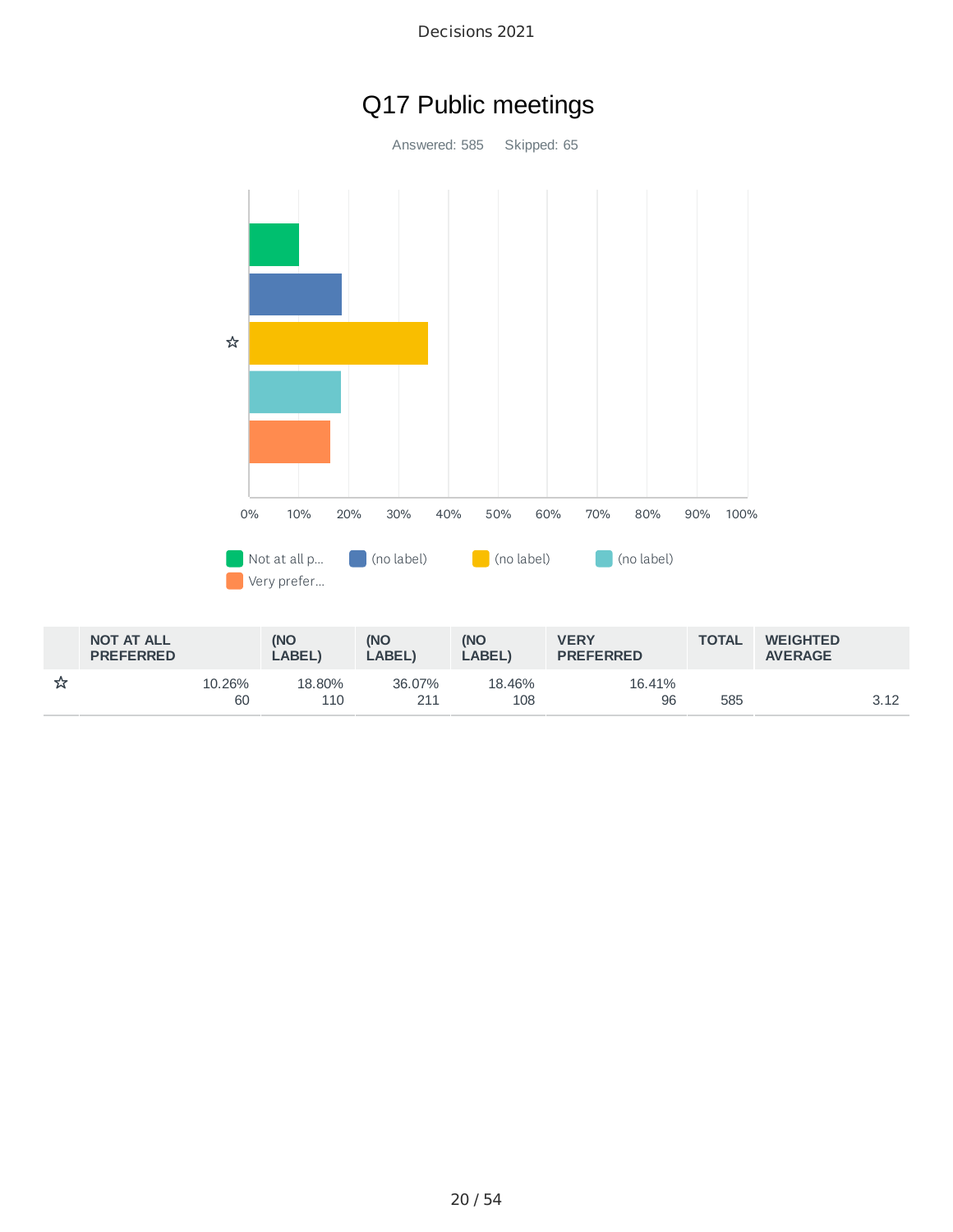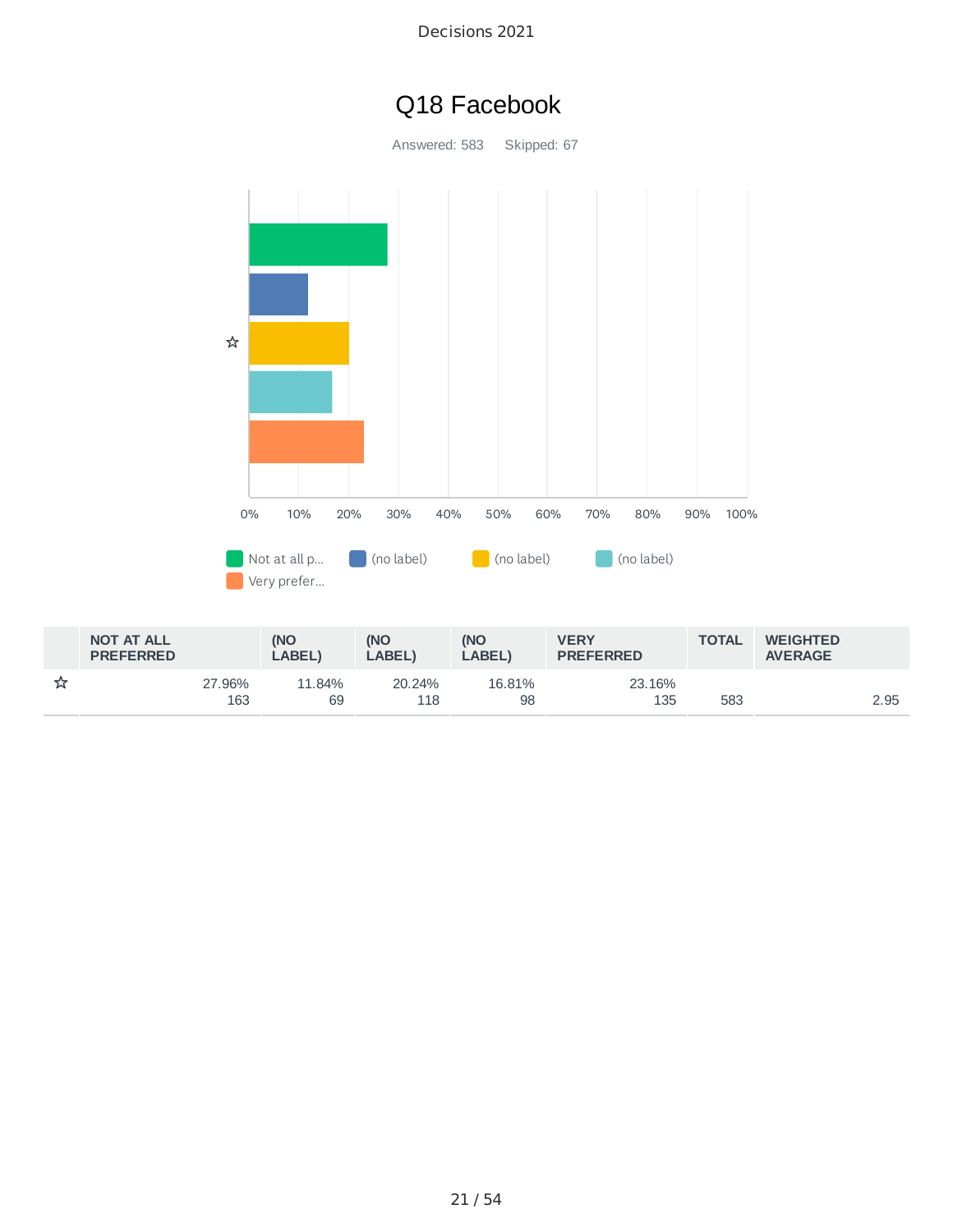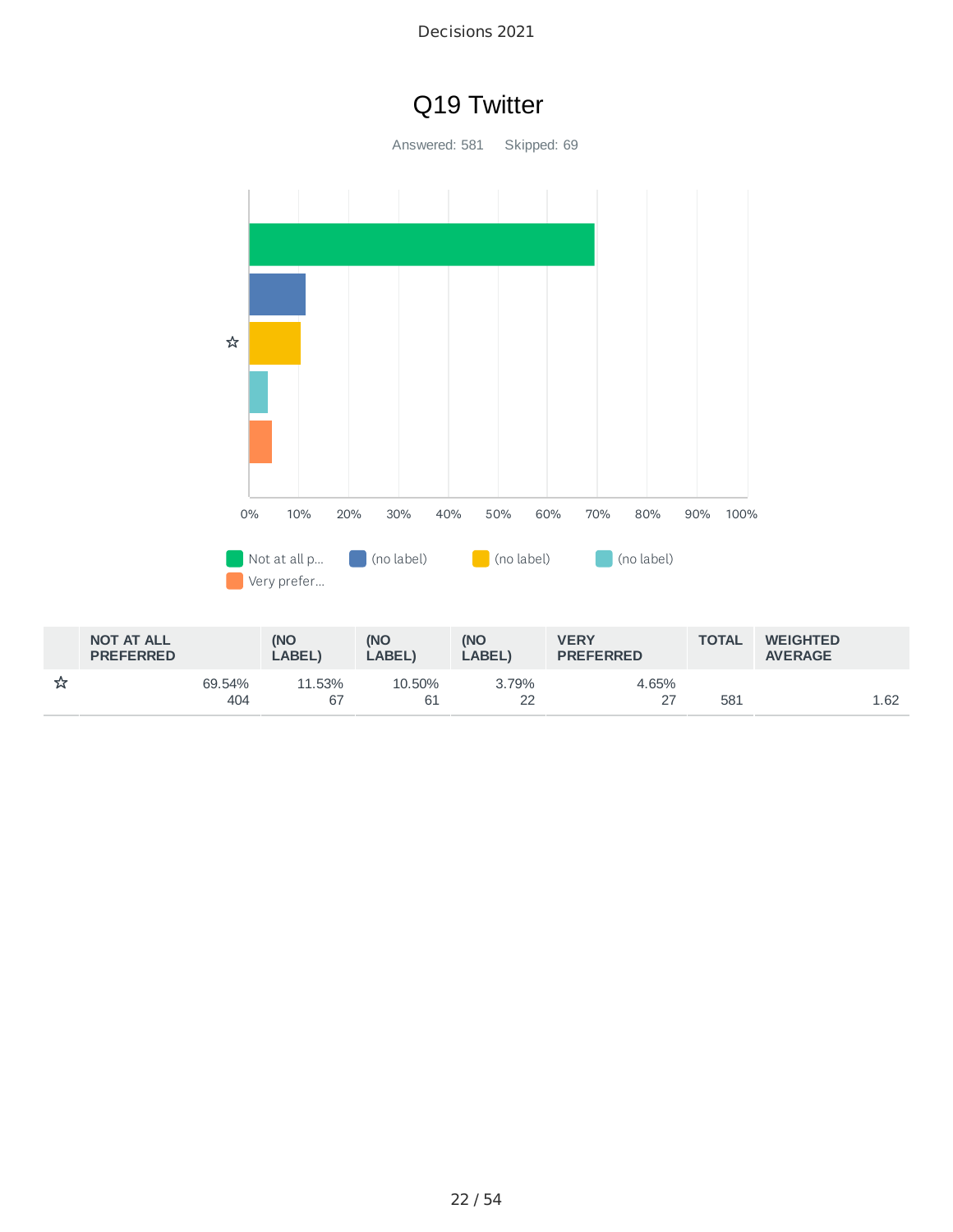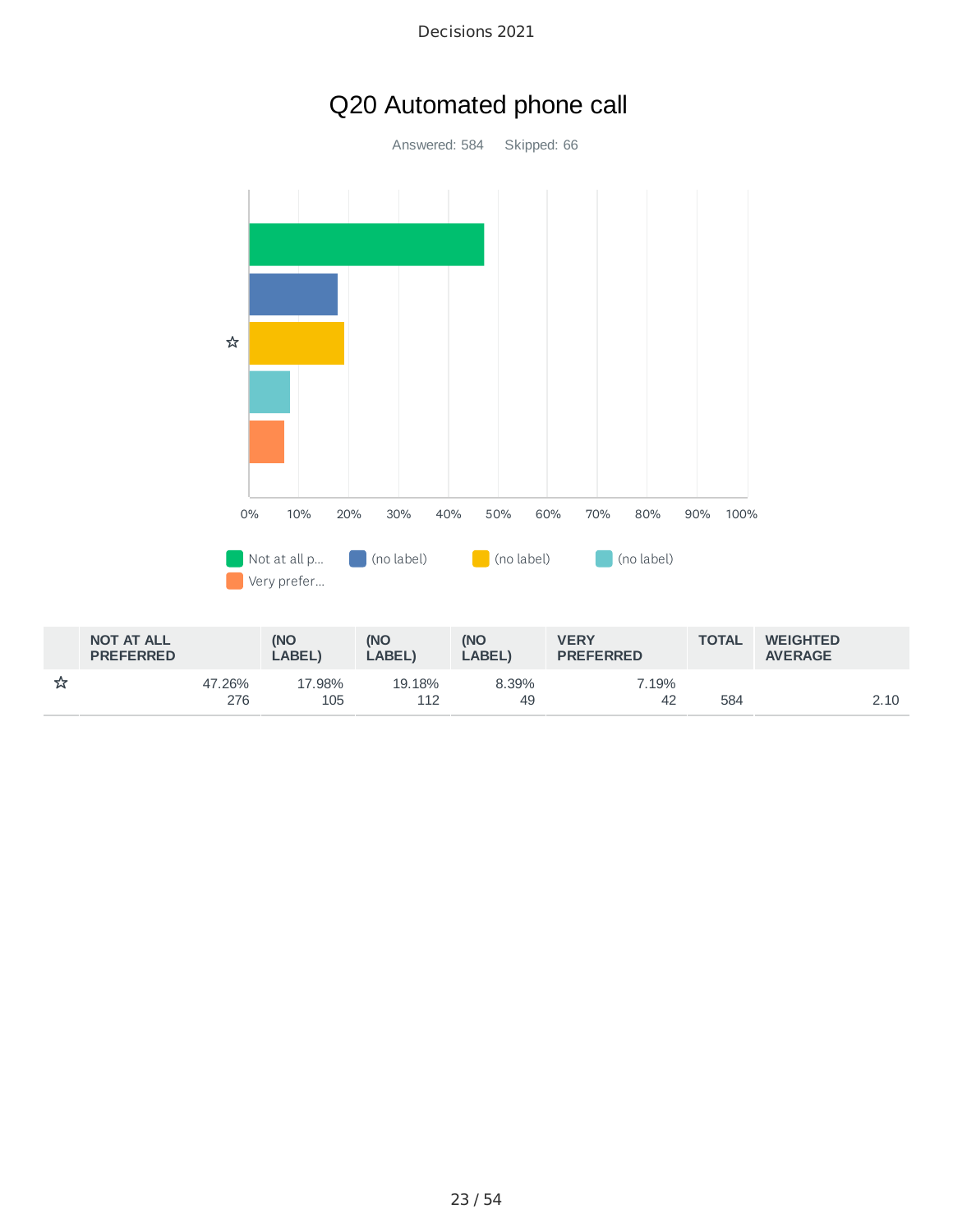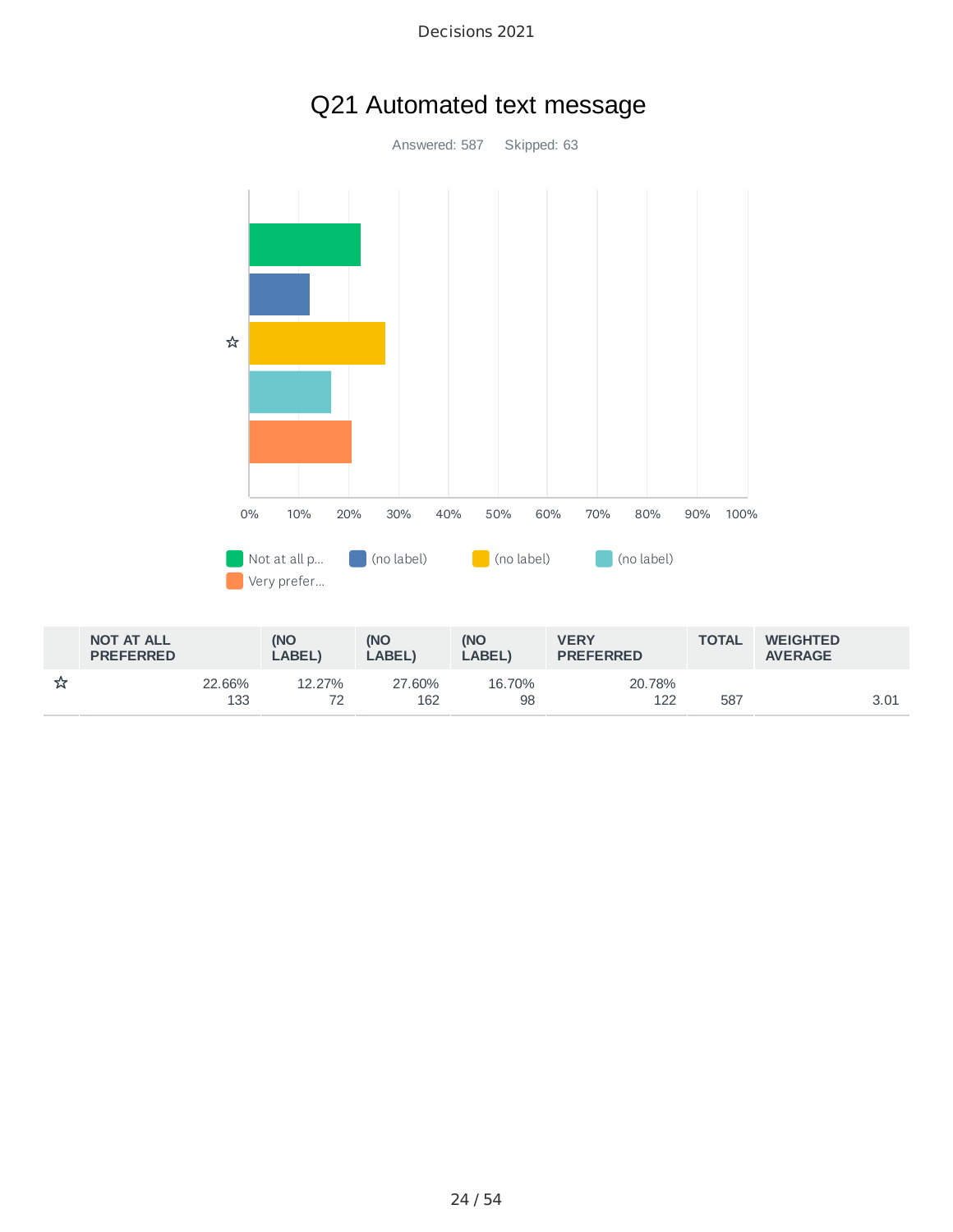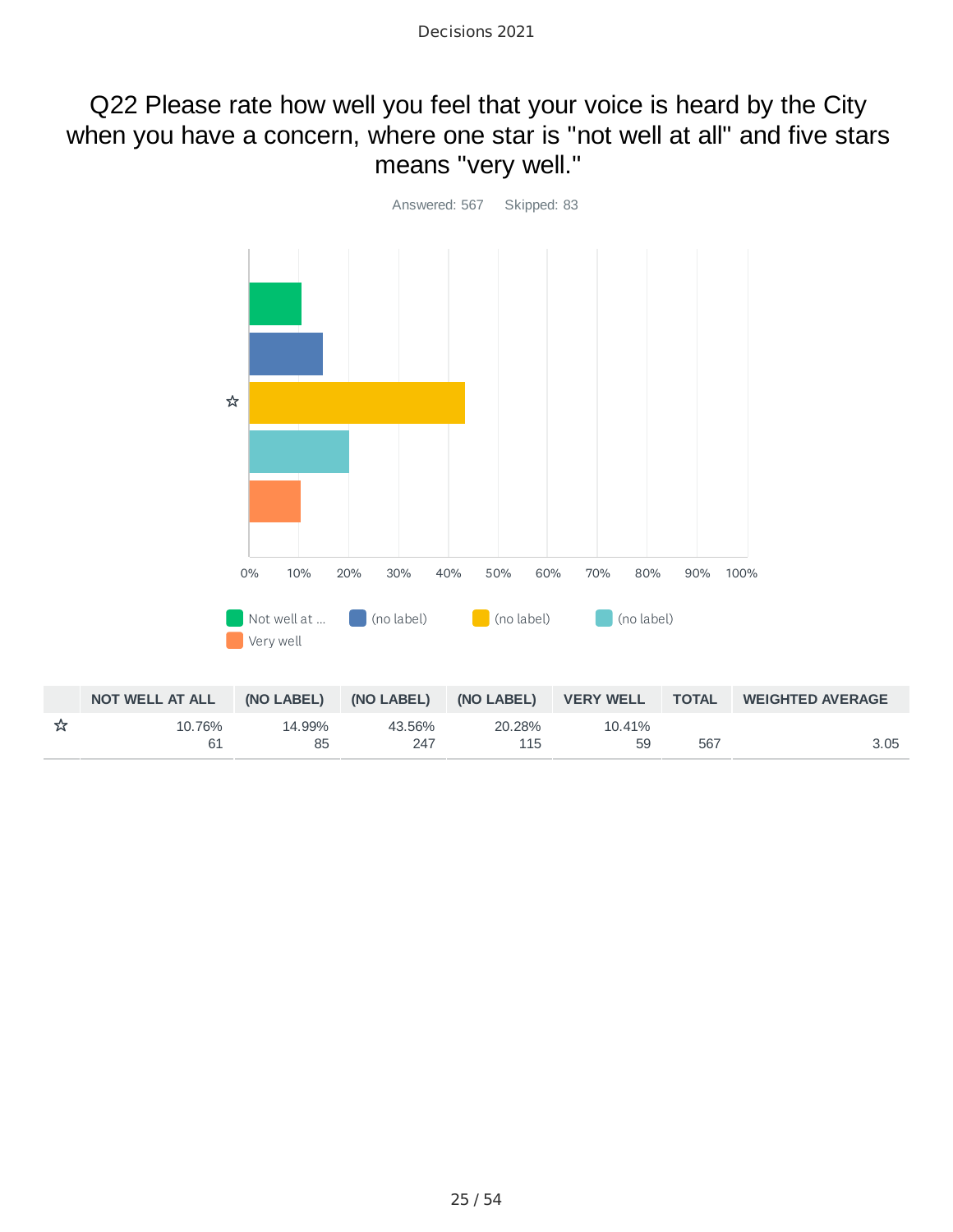# Q22 Please rate how well you feel that your voice is heard by the City when you have a concern, where one star is "not well at all" and five stars means "very well."

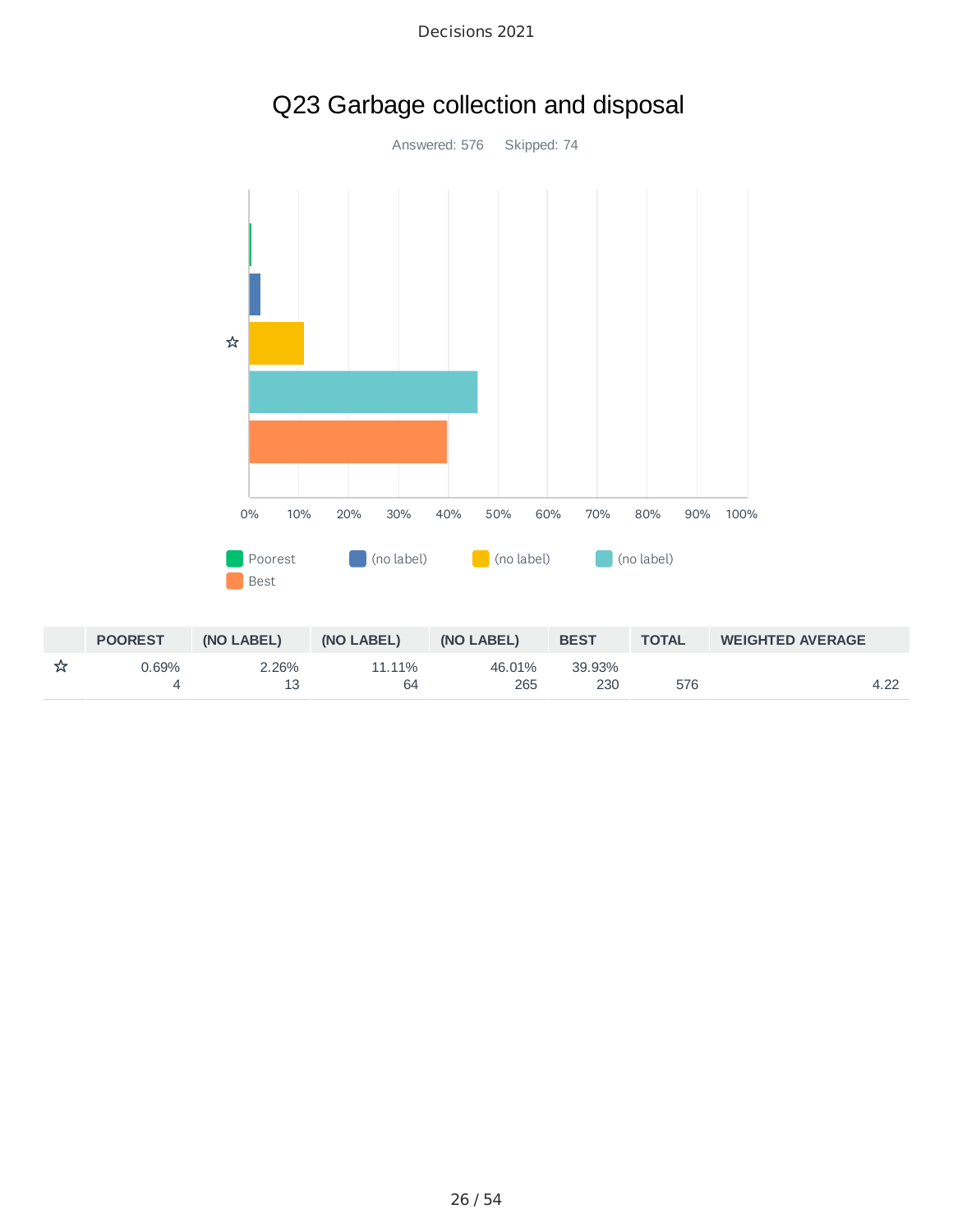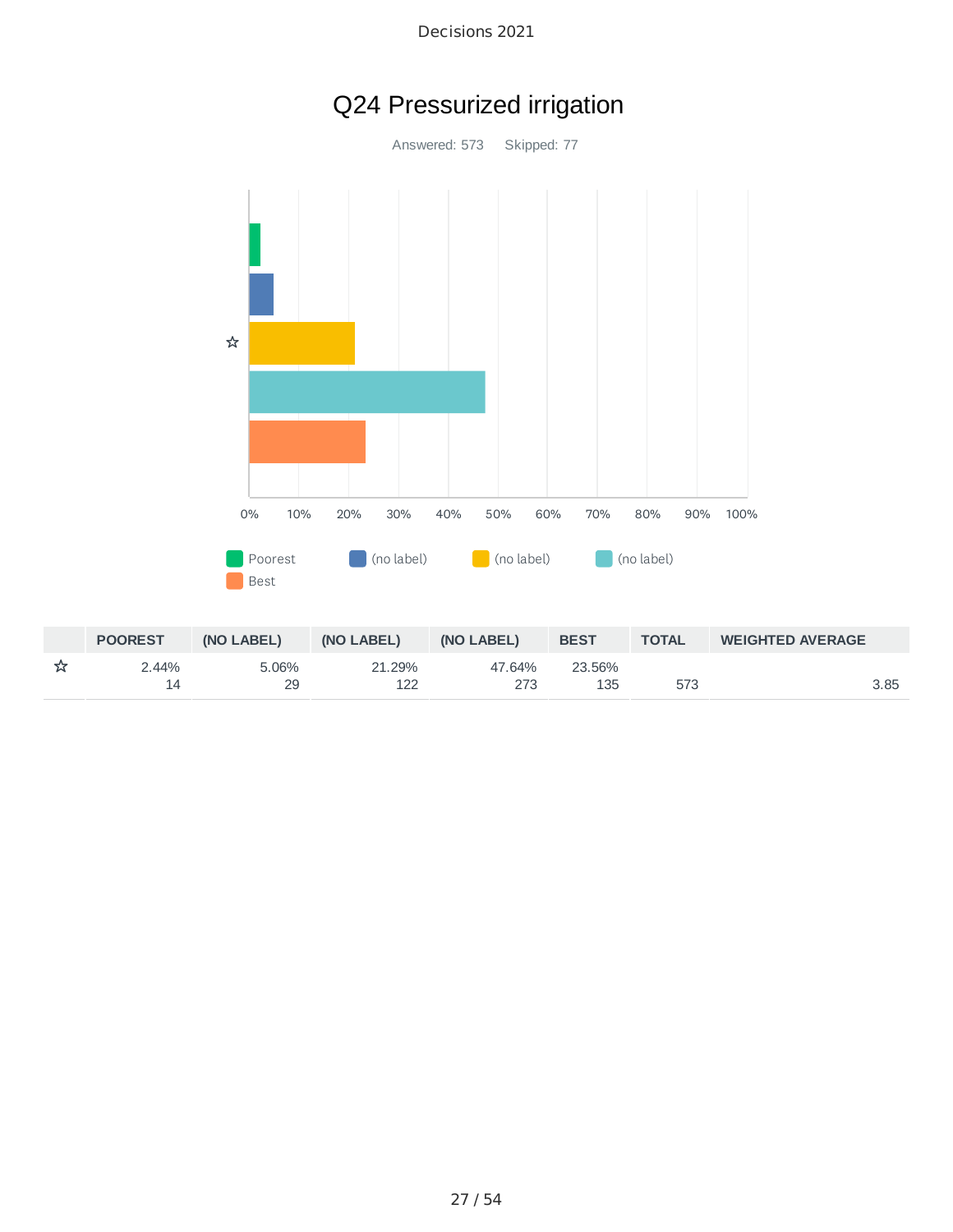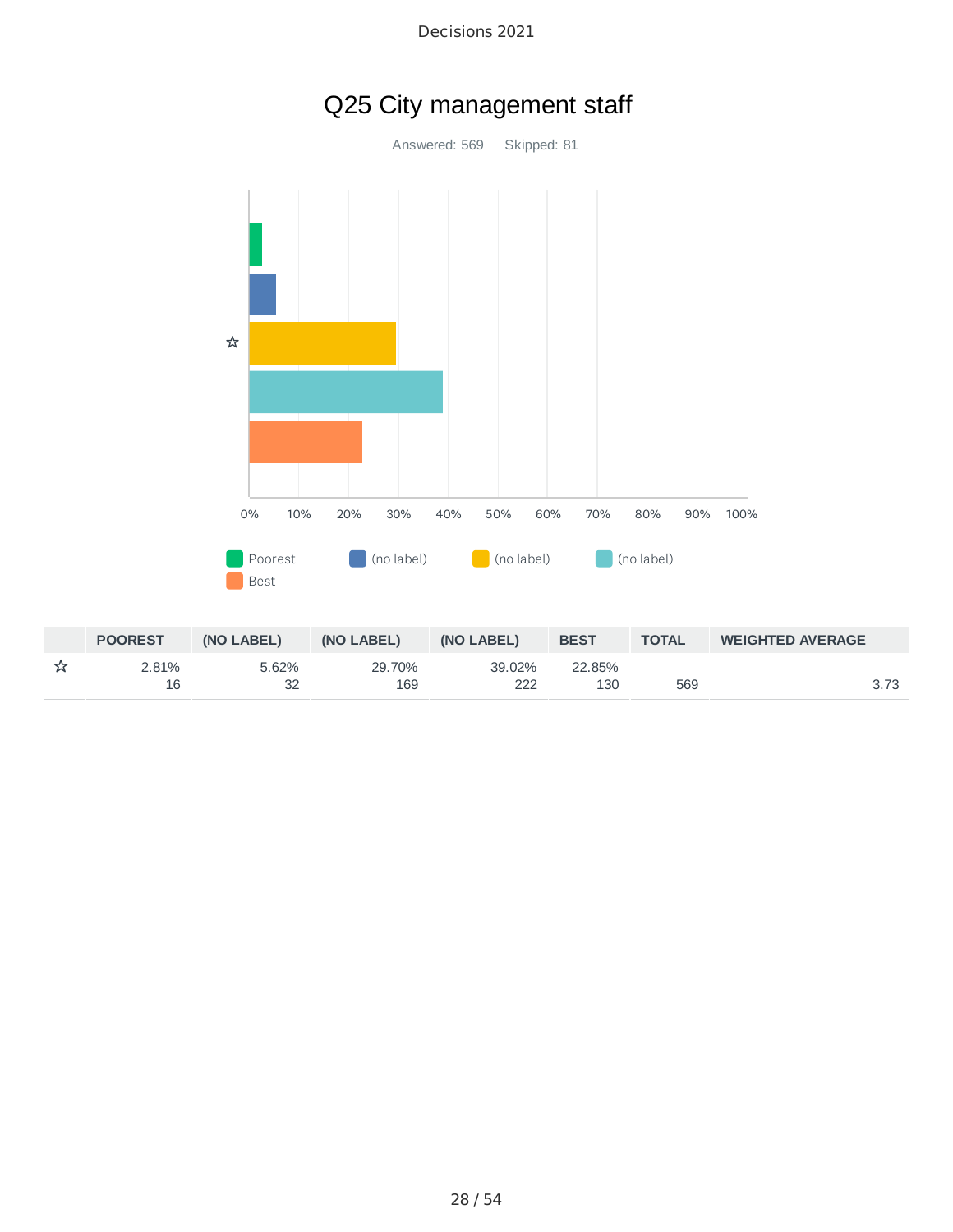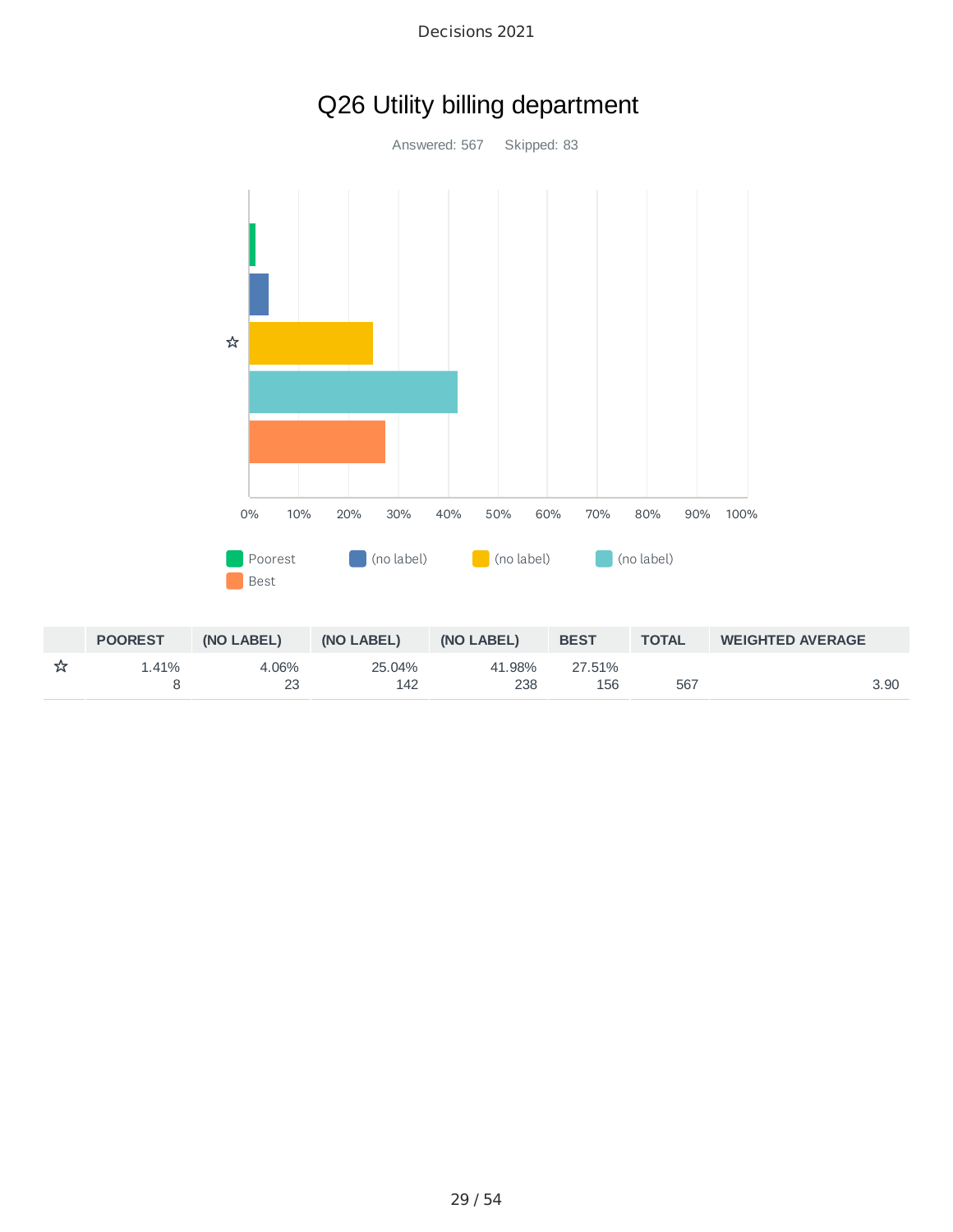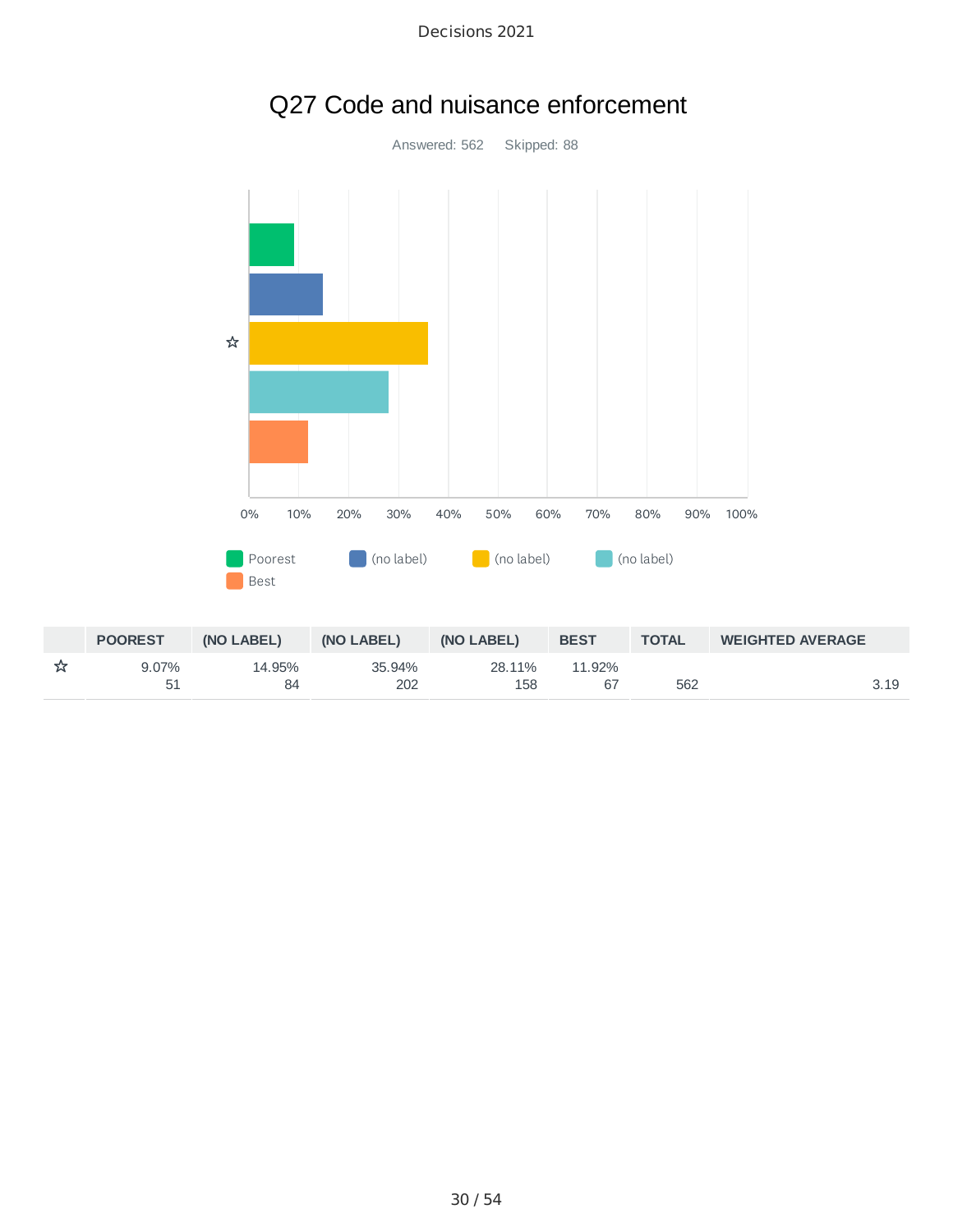

# Q27 Code and nuisance enforcement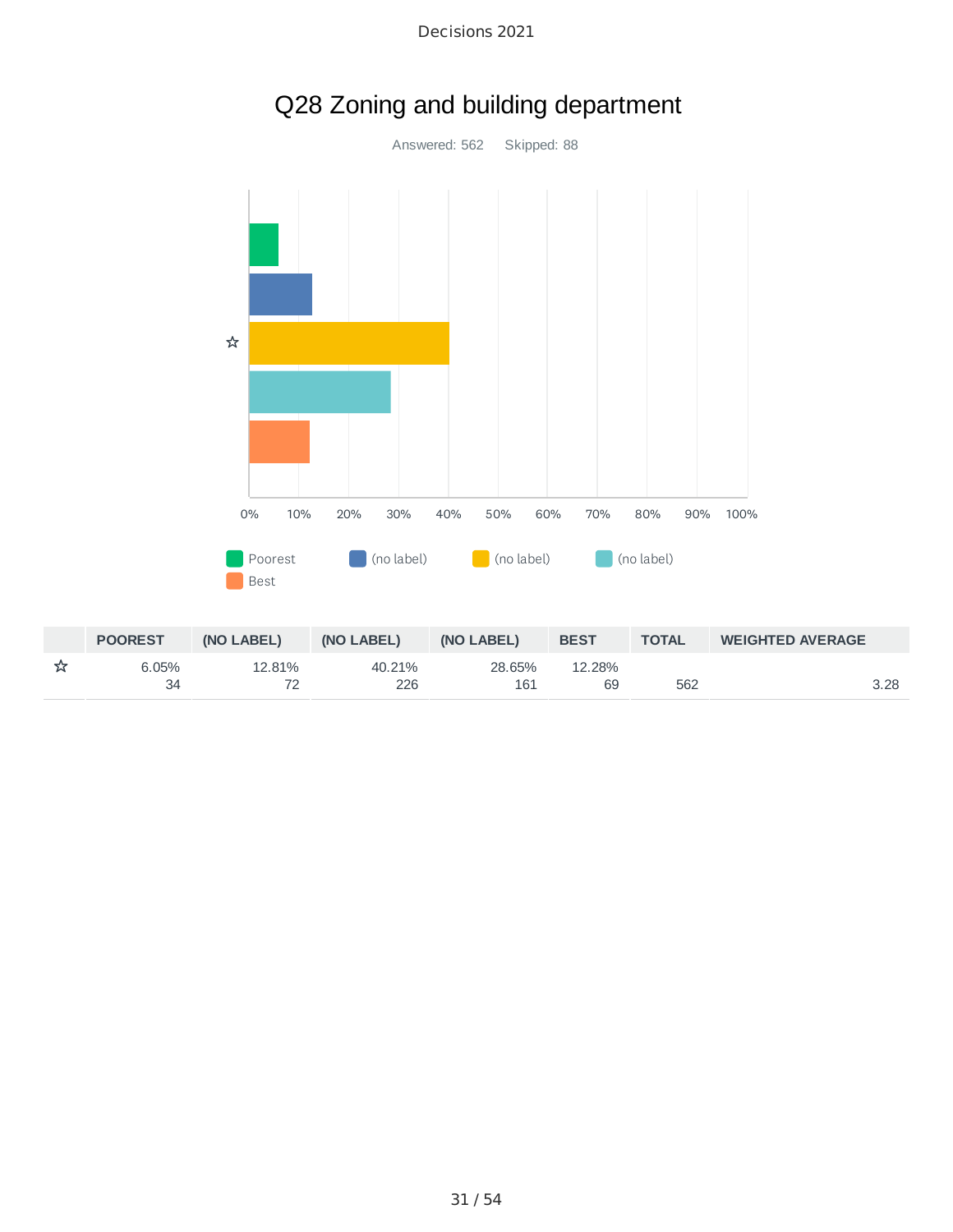

Q28 Zoning and building department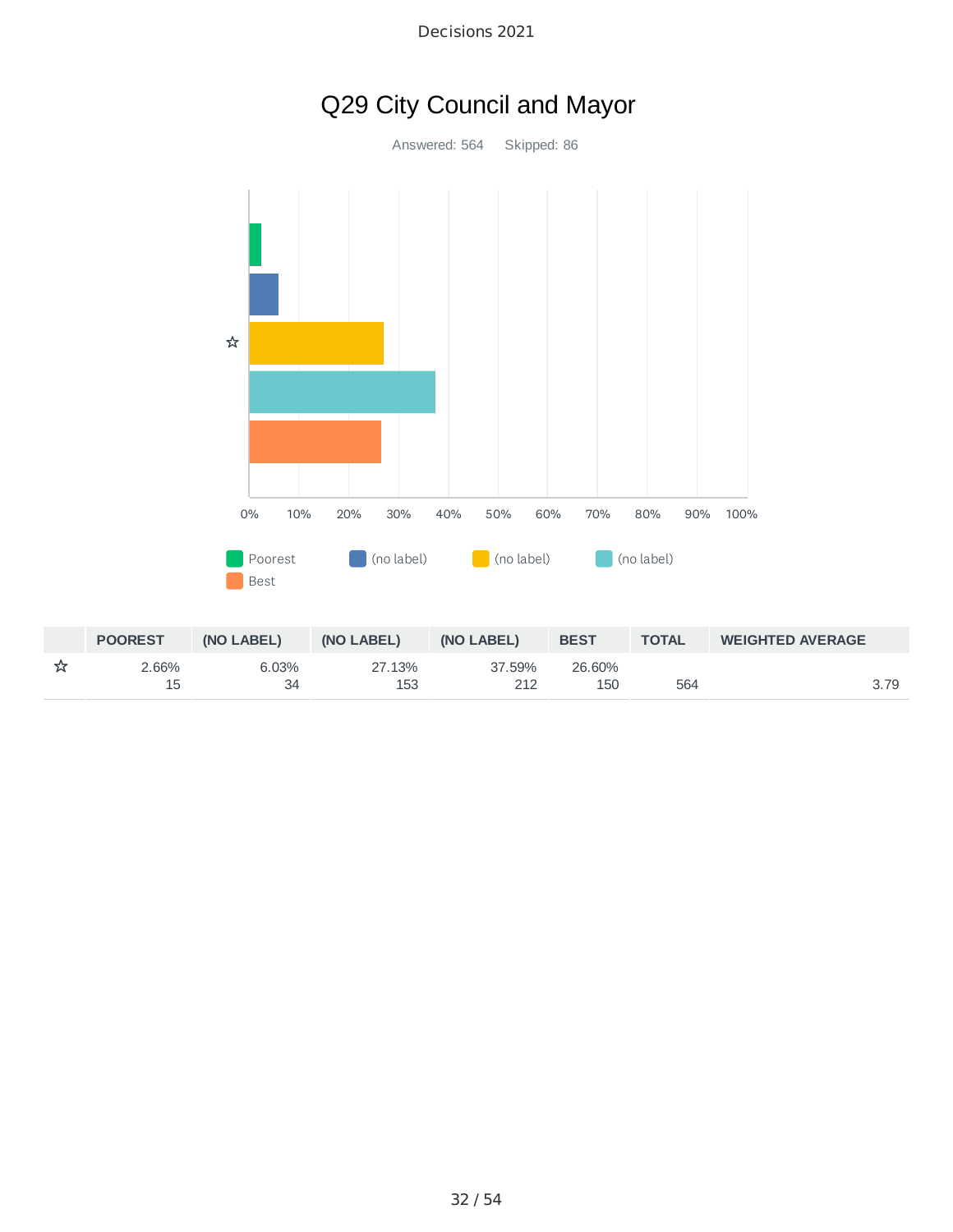

Decisions 2021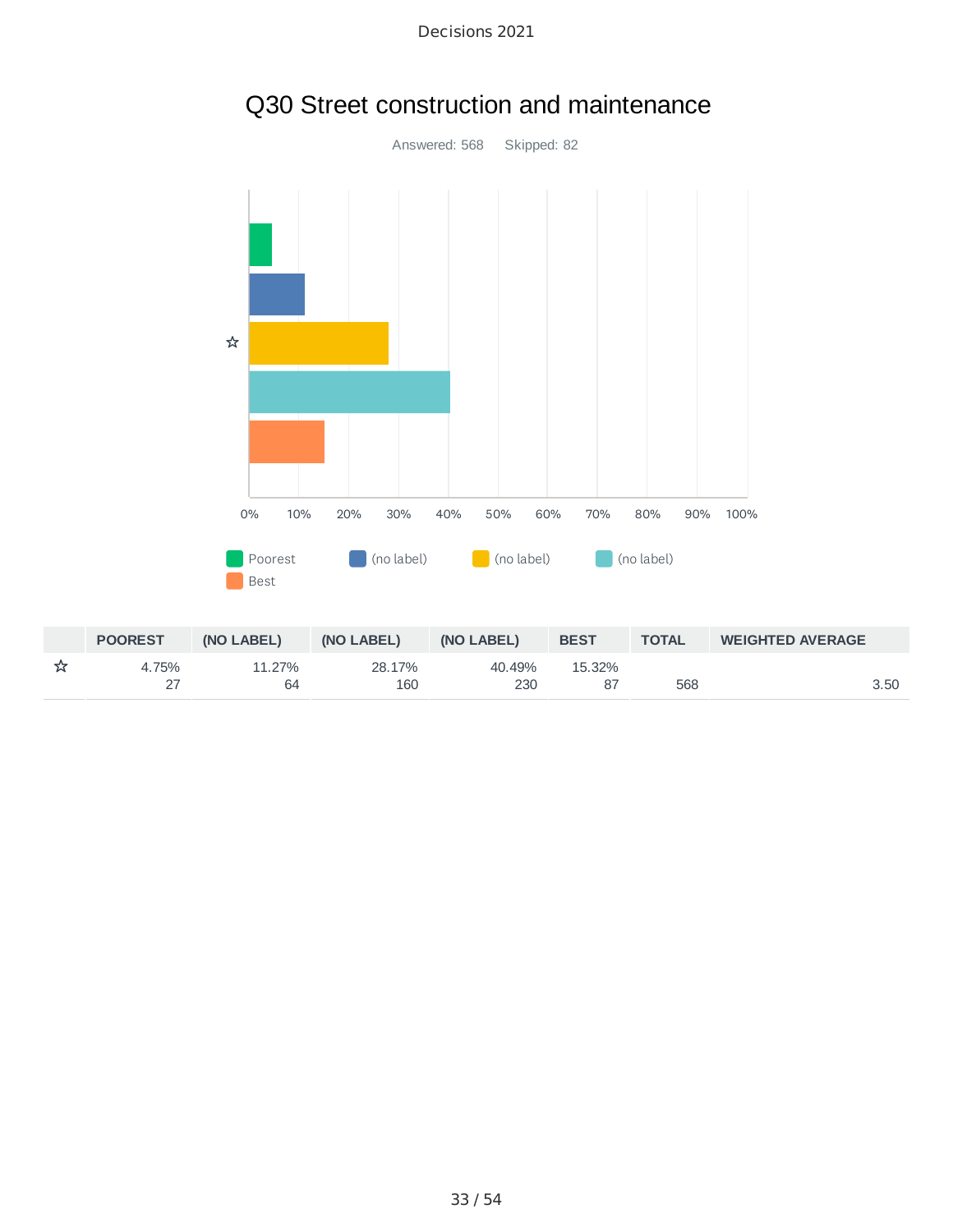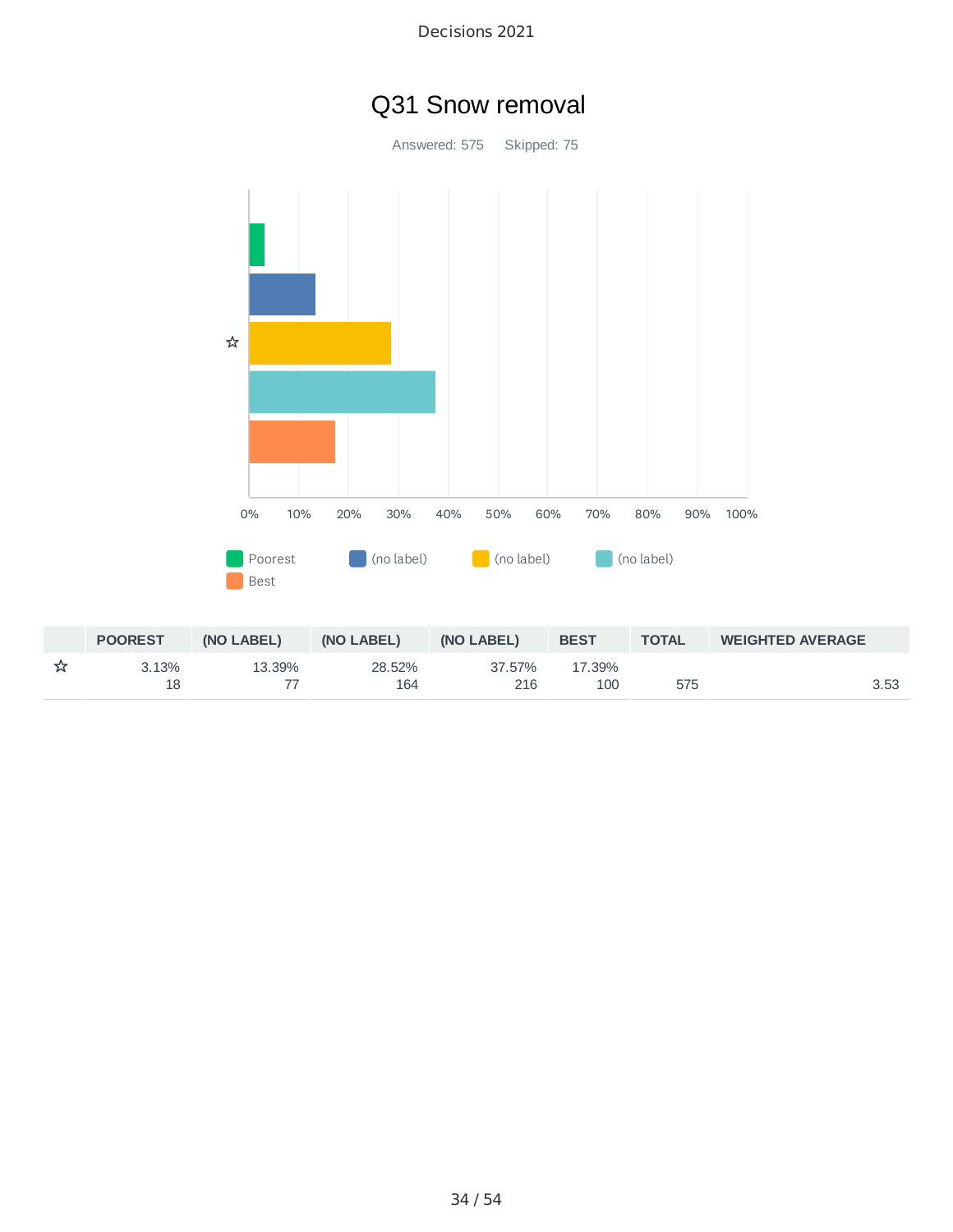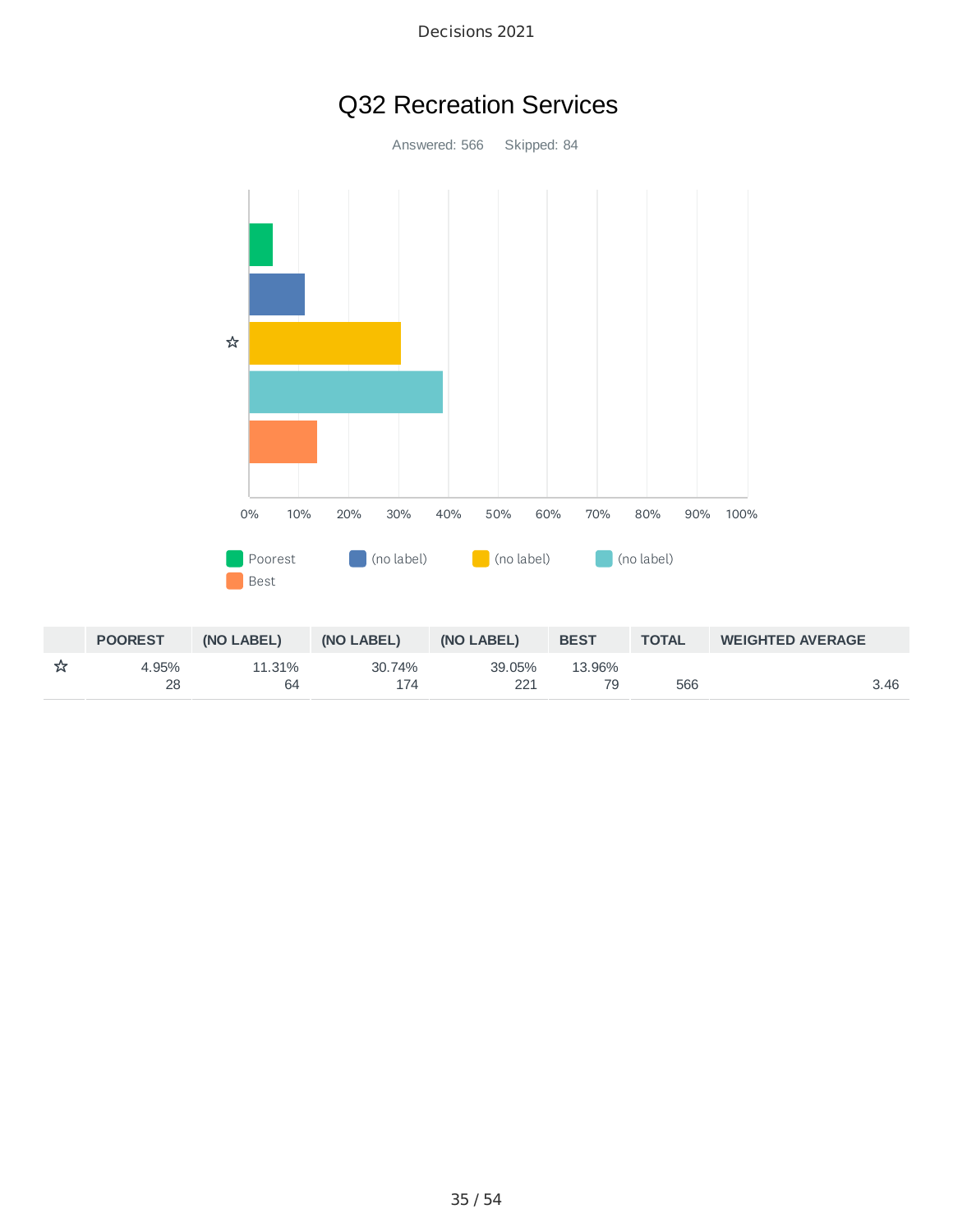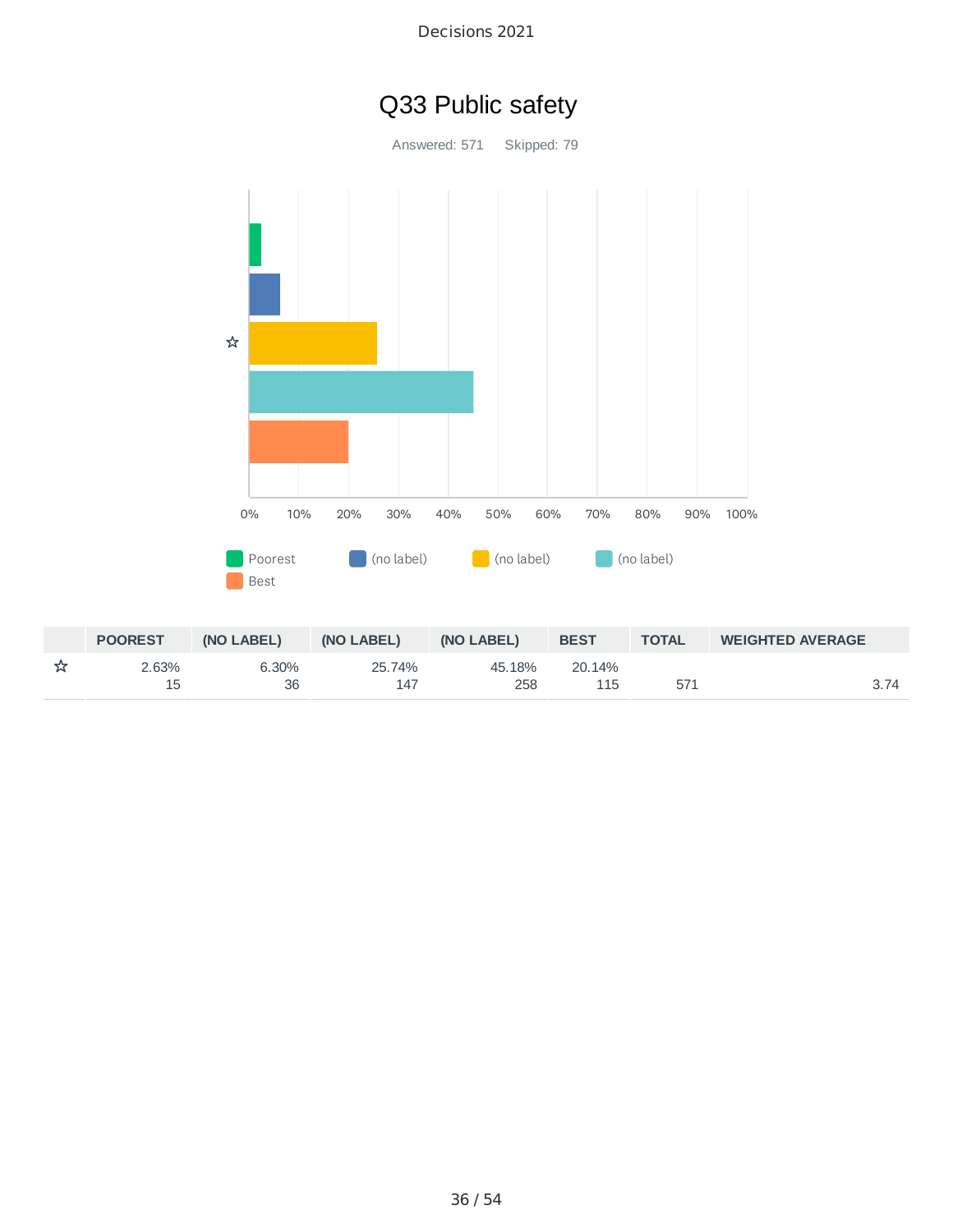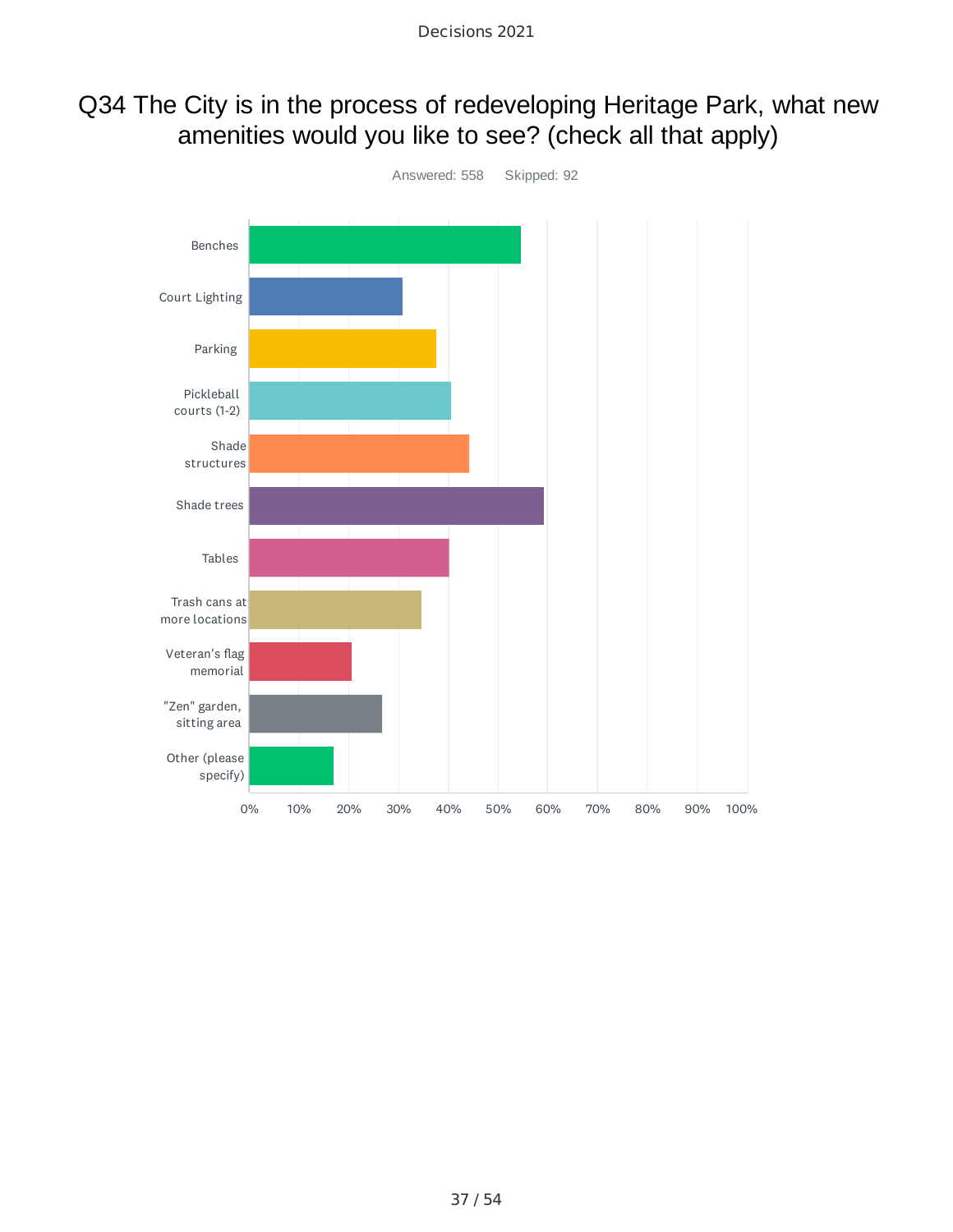### Q34 The City is in the process of redeveloping Heritage Park, what new amenities would you like to see? (check all that apply)

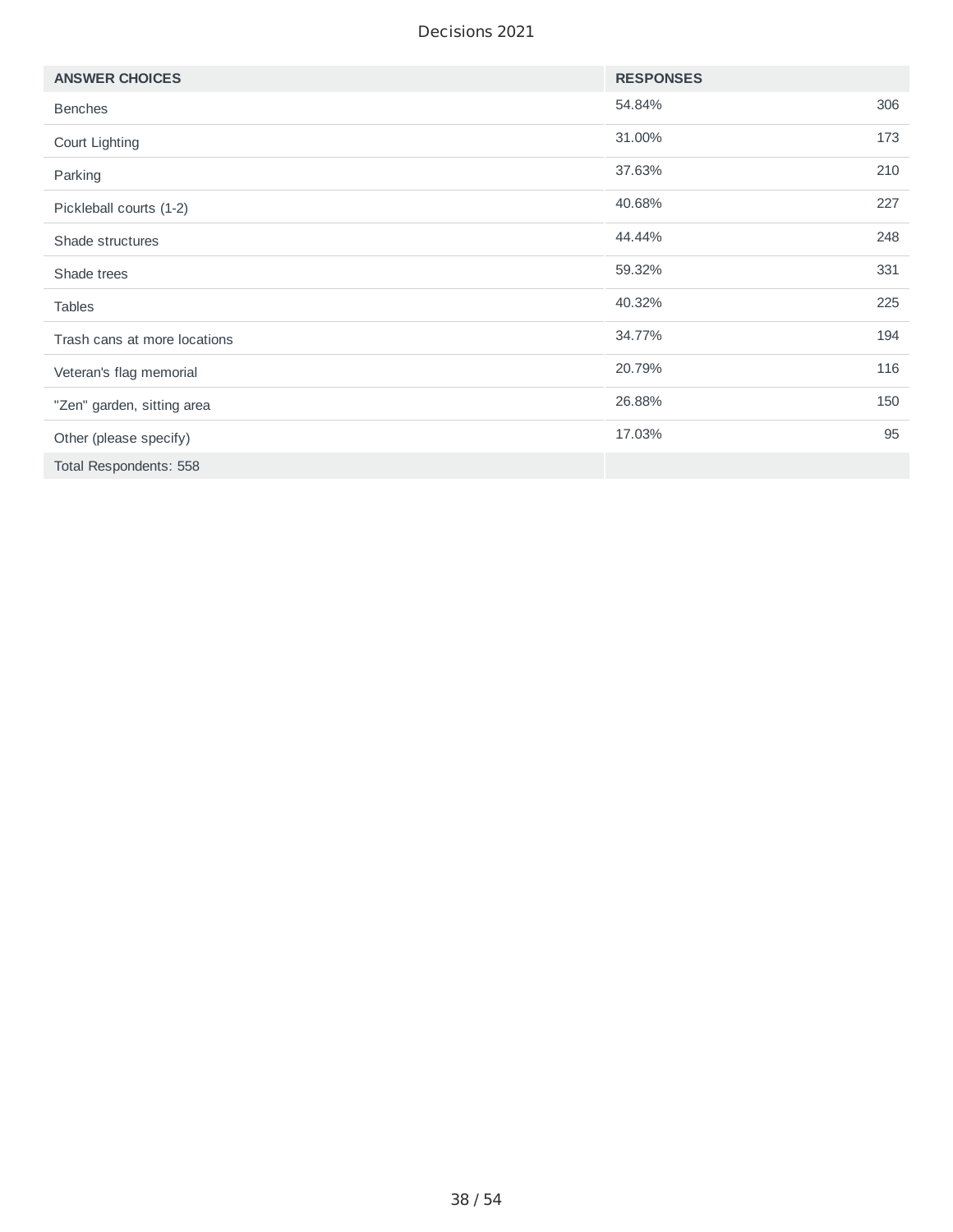| <b>ANSWER CHOICES</b>        | <b>RESPONSES</b> |     |
|------------------------------|------------------|-----|
| <b>Benches</b>               | 54.84%           | 306 |
| Court Lighting               | 31.00%           | 173 |
| Parking                      | 37.63%           | 210 |
| Pickleball courts (1-2)      | 40.68%           | 227 |
| Shade structures             | 44.44%           | 248 |
| Shade trees                  | 59.32%           | 331 |
| <b>Tables</b>                | 40.32%           | 225 |
| Trash cans at more locations | 34.77%           | 194 |
| Veteran's flag memorial      | 20.79%           | 116 |
| "Zen" garden, sitting area   | 26.88%           | 150 |
| Other (please specify)       | 17.03%           | 95  |
| Total Respondents: 558       |                  |     |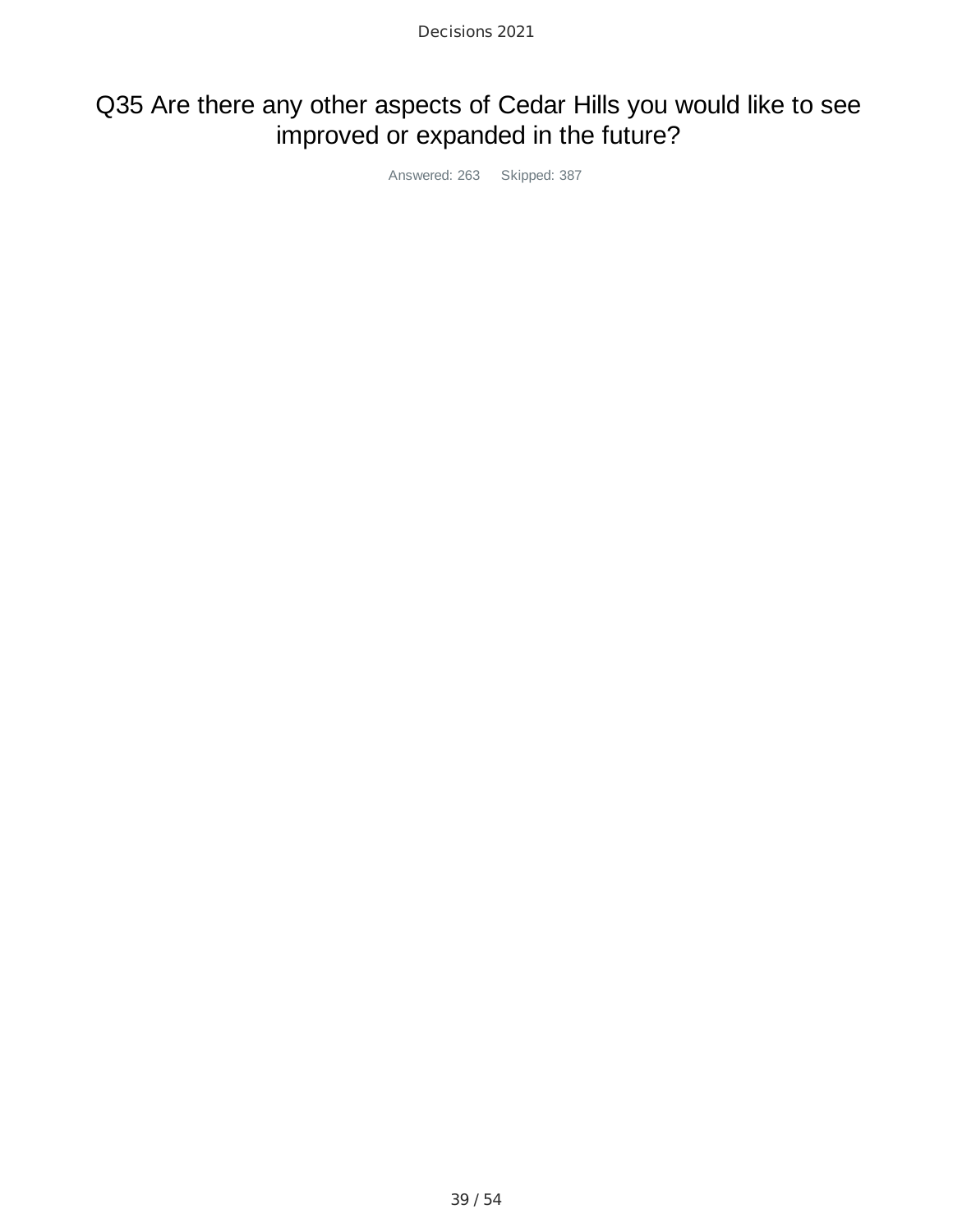# Q35 Are there any other aspects of Cedar Hills you would like to see improved or expanded in the future?

Answered: 263 Skipped: 387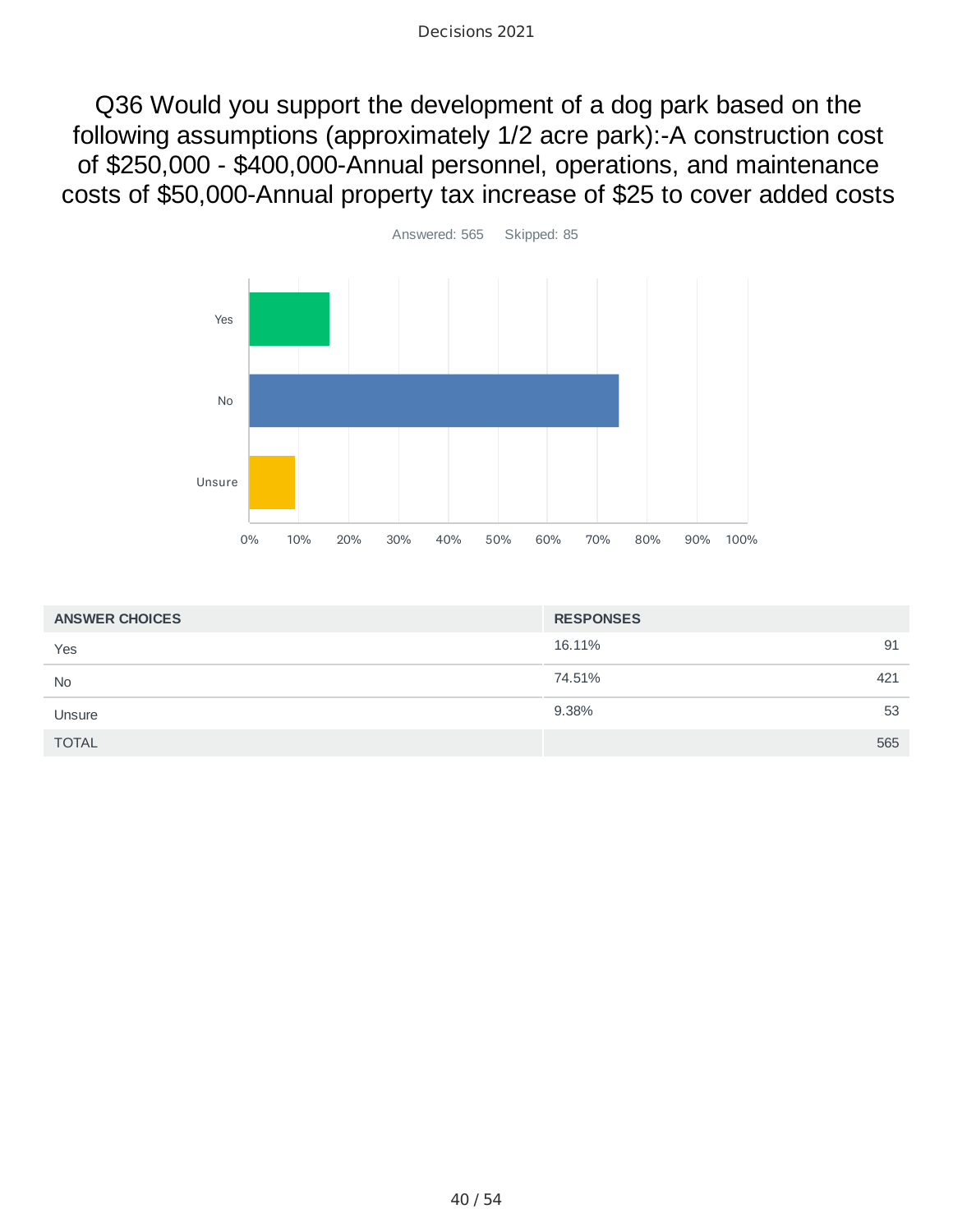Q36 Would you support the development of a dog park based on the following assumptions (approximately 1/2 acre park):-A construction cost of \$250,000 - \$400,000-Annual personnel, operations, and maintenance costs of \$50,000-Annual property tax increase of \$25 to cover added costs



| <b>ANSWER CHOICES</b> | <b>RESPONSES</b> |
|-----------------------|------------------|
| Yes                   | 16.11%<br>91     |
| <b>No</b>             | 74.51%<br>421    |
| Unsure                | 9.38%<br>53      |
| <b>TOTAL</b>          | 565              |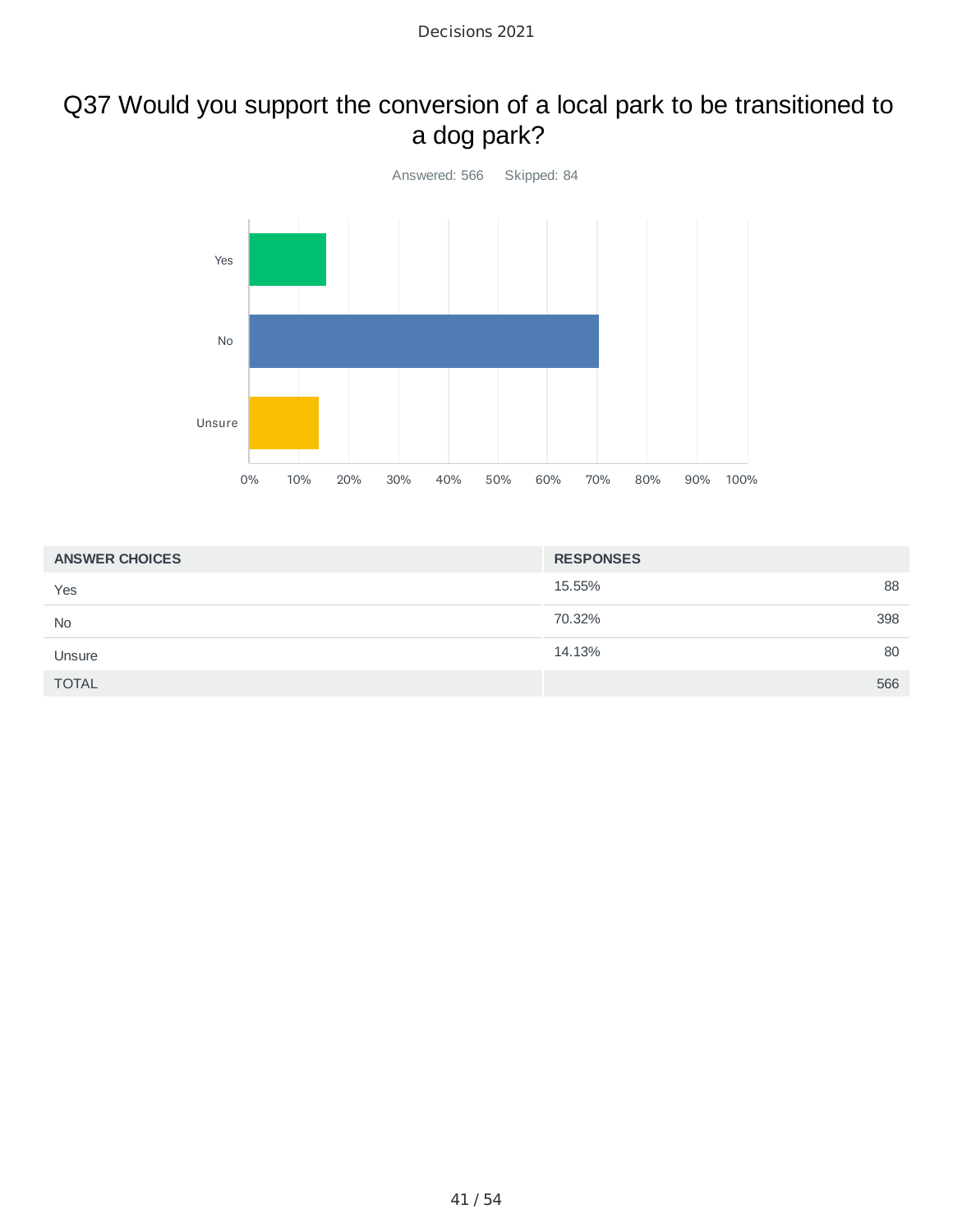# Q37 Would you support the conversion of a local park to be transitioned to a dog park?



| <b>ANSWER CHOICES</b> | <b>RESPONSES</b> |
|-----------------------|------------------|
| Yes                   | 88<br>15.55%     |
| <b>No</b>             | 398<br>70.32%    |
| Unsure                | 80<br>14.13%     |
| <b>TOTAL</b>          | 566              |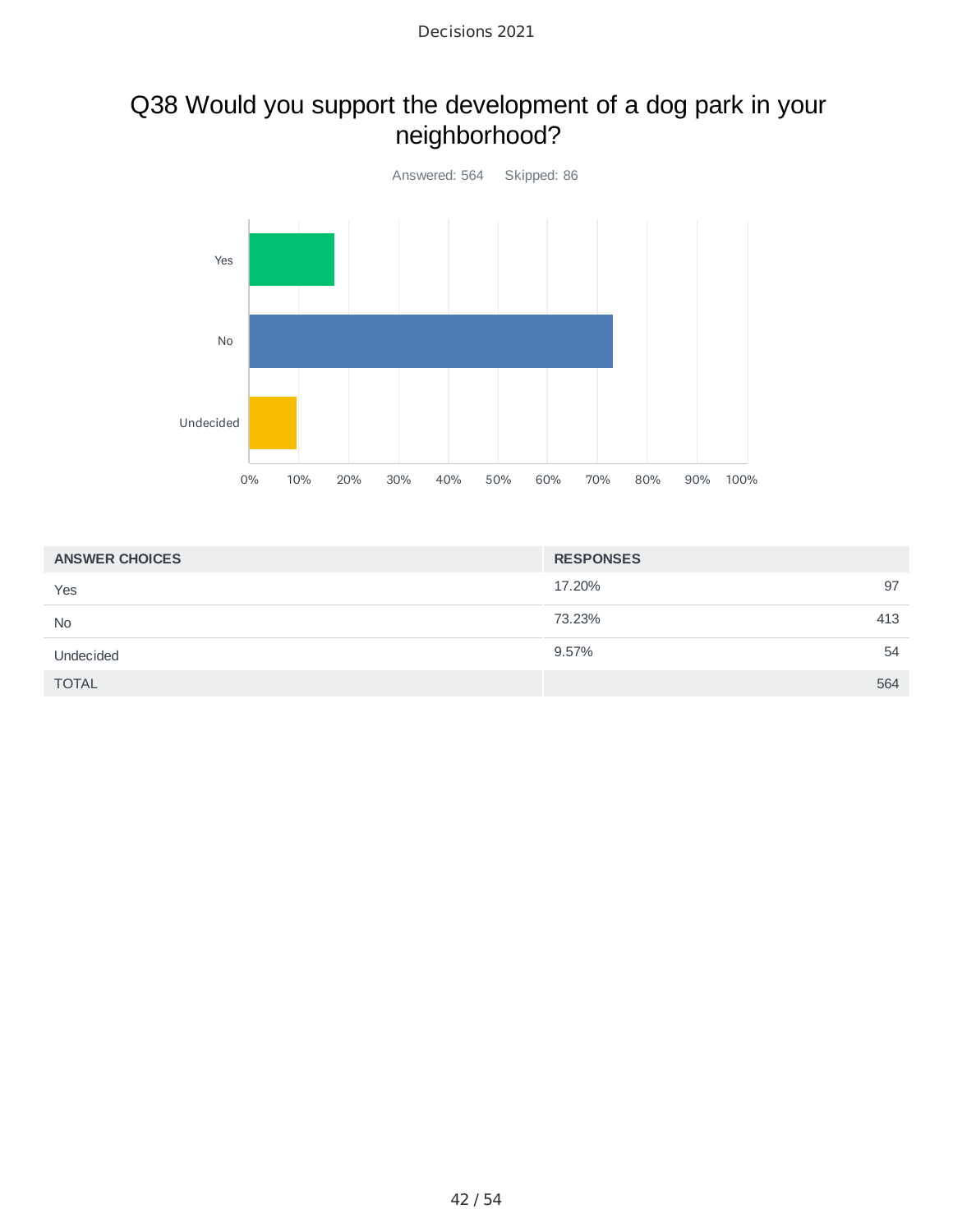# Q38 Would you support the development of a dog park in your neighborhood?



| <b>ANSWER CHOICES</b> | <b>RESPONSES</b> |
|-----------------------|------------------|
| Yes                   | 97<br>17.20%     |
| <b>No</b>             | 73.23%<br>413    |
| Undecided             | 9.57%<br>54      |
| <b>TOTAL</b>          | 564              |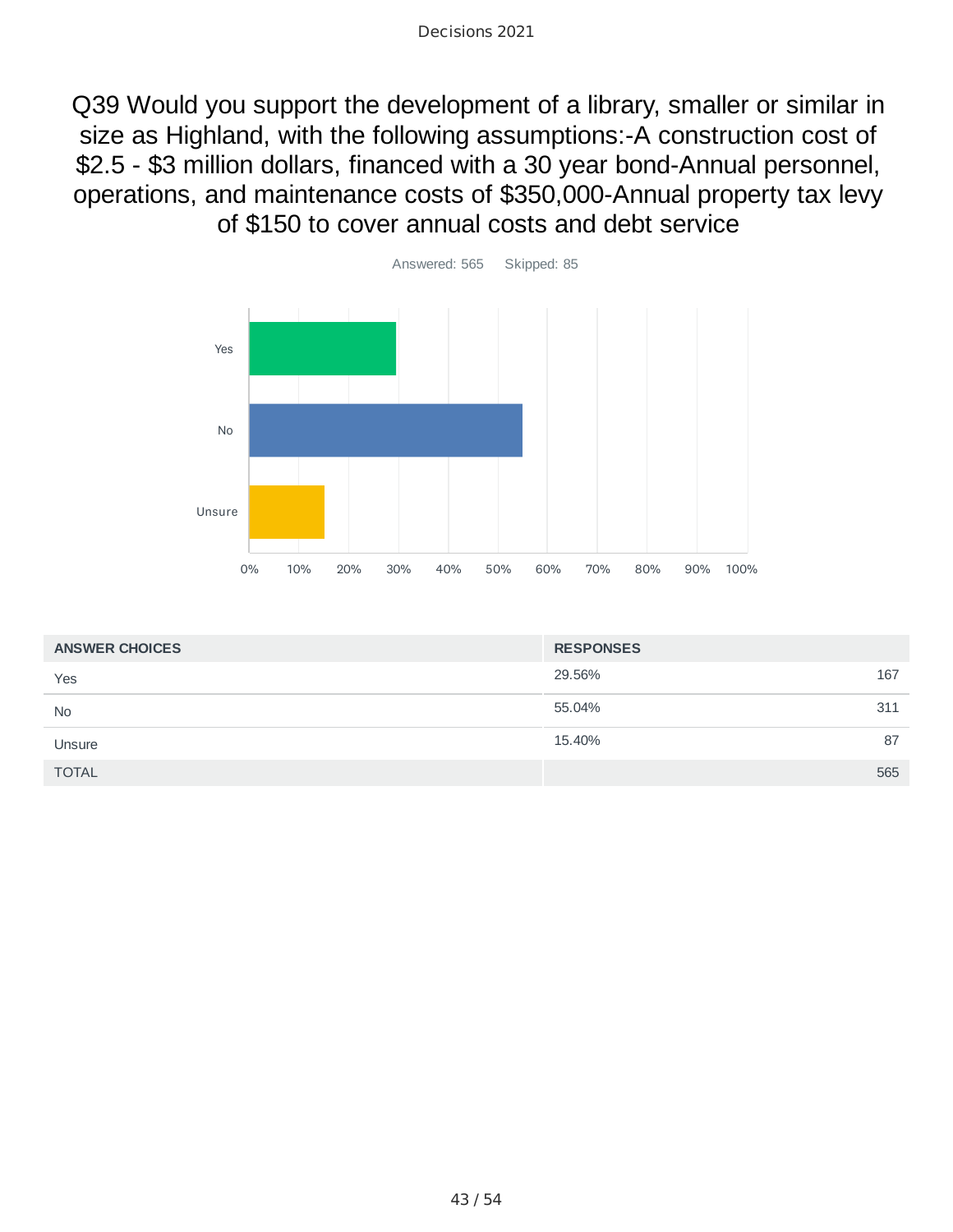Q39 Would you support the development of a library, smaller or similar in size as Highland, with the following assumptions:-A construction cost of \$2.5 - \$3 million dollars, financed with a 30 year bond-Annual personnel, operations, and maintenance costs of \$350,000-Annual property tax levy of \$150 to cover annual costs and debt service



| <b>ANSWER CHOICES</b> | <b>RESPONSES</b> |     |
|-----------------------|------------------|-----|
| Yes                   | 29.56%           | 167 |
| <b>No</b>             | 55.04%           | 311 |
| Unsure                | 15.40%           | 87  |
| <b>TOTAL</b>          |                  | 565 |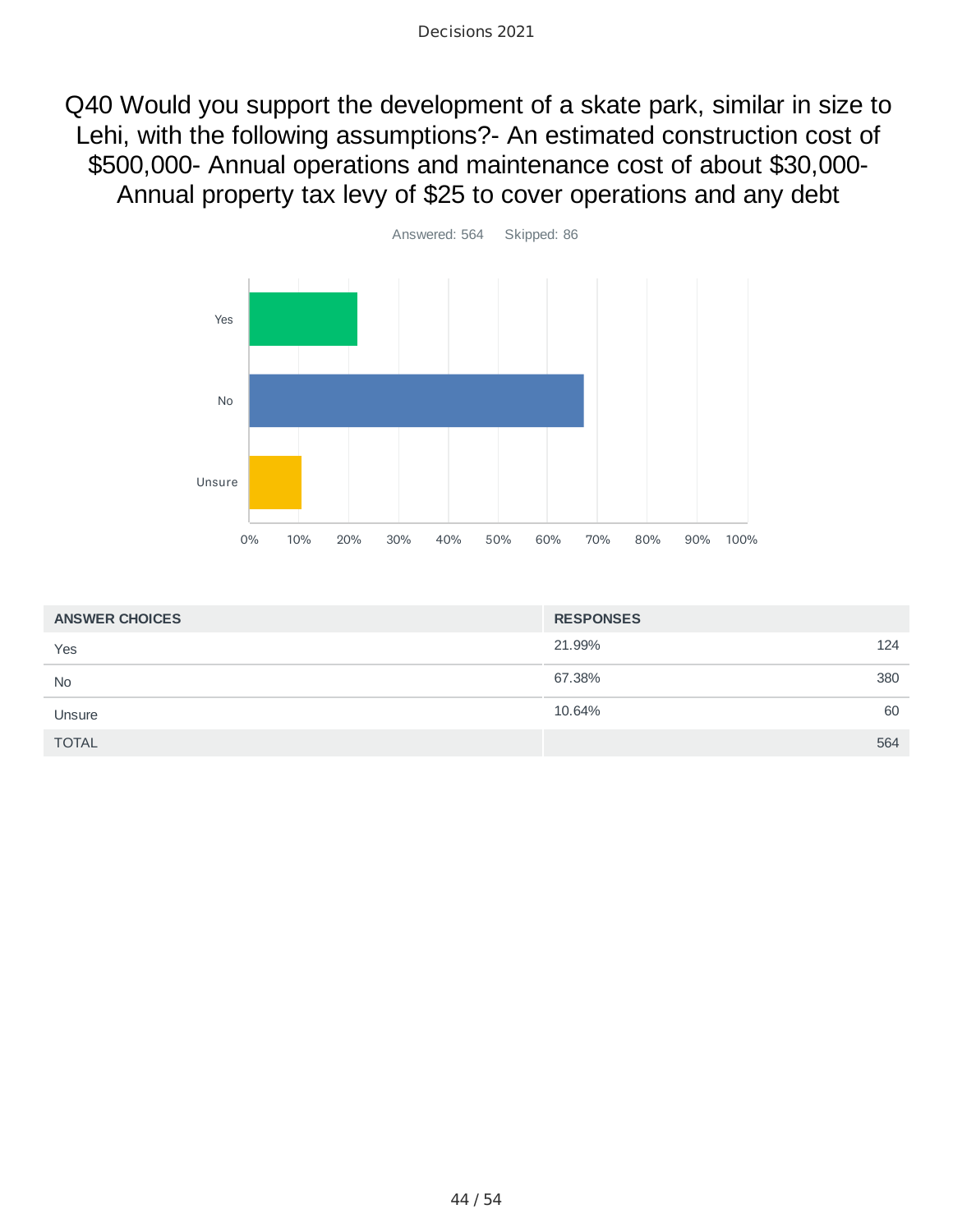Q40 Would you support the development of a skate park, similar in size to Lehi, with the following assumptions?- An estimated construction cost of \$500,000- Annual operations and maintenance cost of about \$30,000- Annual property tax levy of \$25 to cover operations and any debt



| <b>ANSWER CHOICES</b> | <b>RESPONSES</b> |
|-----------------------|------------------|
| Yes                   | 21.99%<br>124    |
| <b>No</b>             | 67.38%<br>380    |
| Unsure                | 10.64%<br>60     |
| <b>TOTAL</b>          | 564              |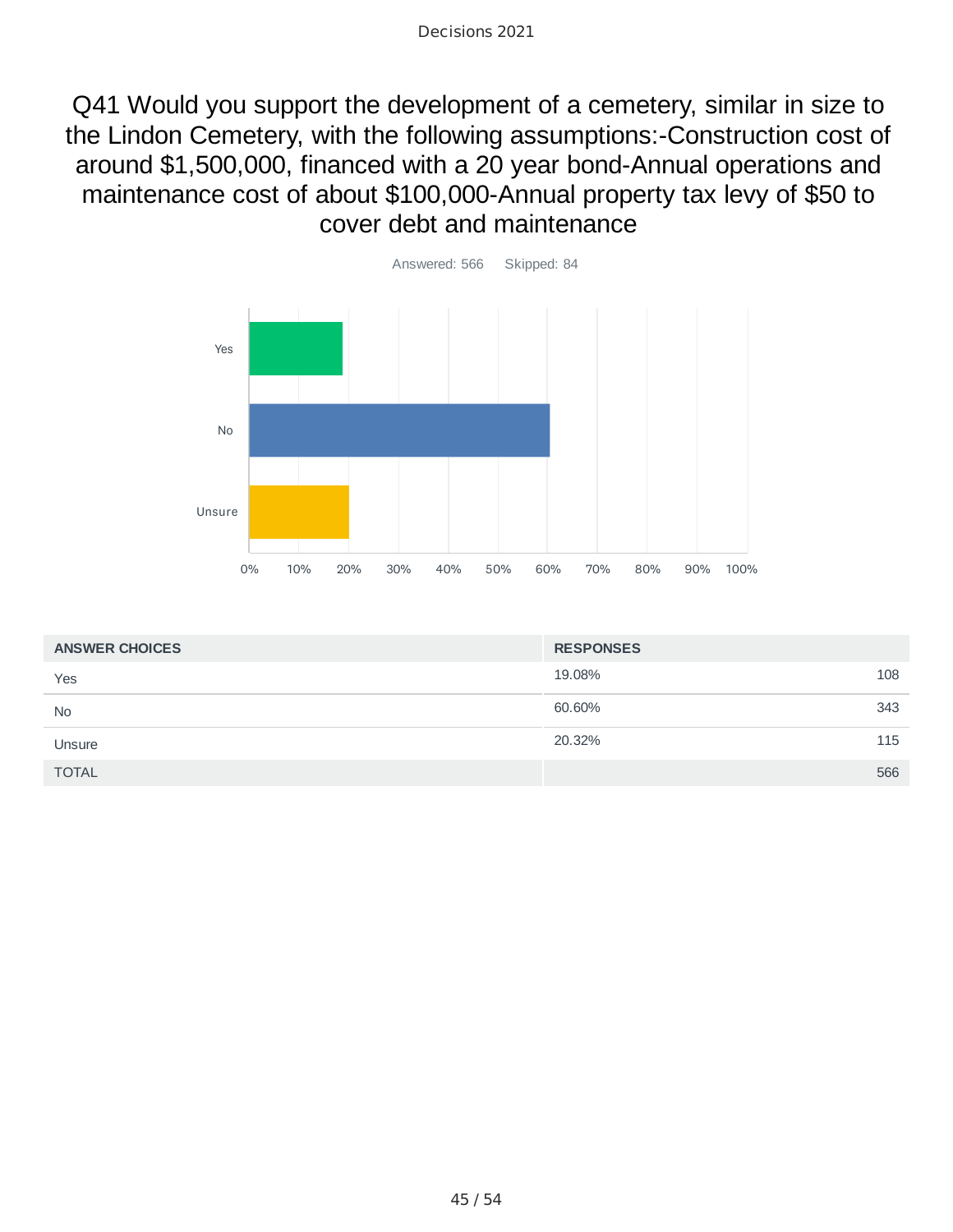Q41 Would you support the development of a cemetery, similar in size to the Lindon Cemetery, with the following assumptions:-Construction cost of around \$1,500,000, financed with a 20 year bond-Annual operations and maintenance cost of about \$100,000-Annual property tax levy of \$50 to cover debt and maintenance



| <b>ANSWER CHOICES</b> | <b>RESPONSES</b> |     |
|-----------------------|------------------|-----|
| Yes                   | 19.08%           | 108 |
| <b>No</b>             | 60.60%           | 343 |
| Unsure                | 20.32%           | 115 |
| <b>TOTAL</b>          |                  | 566 |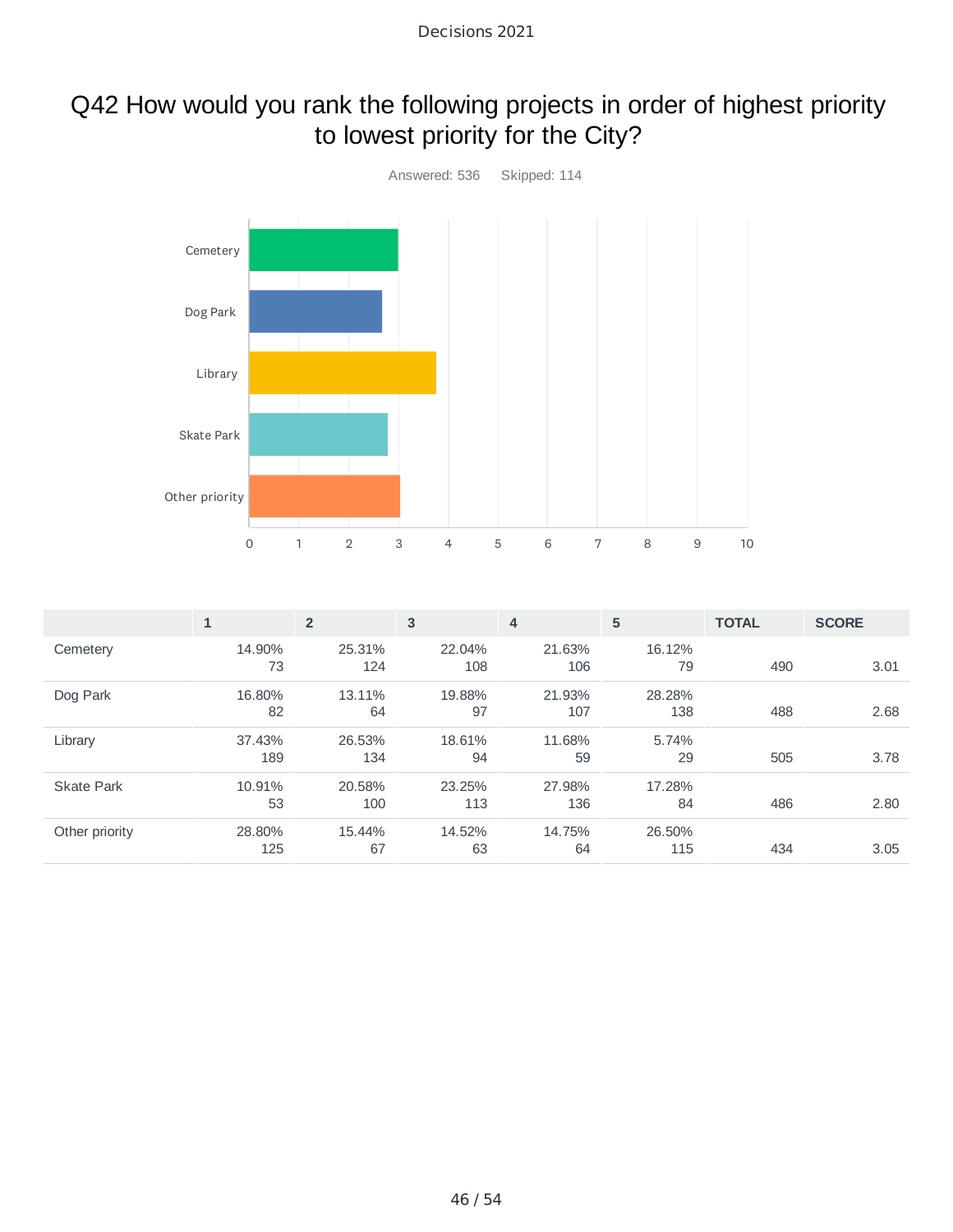# Q42 How would you rank the following projects in order of highest priority to lowest priority for the City?



|                   | $\mathbf{1}$ | $\overline{2}$ | 3      | 4      | 5      | <b>TOTAL</b> | <b>SCORE</b> |
|-------------------|--------------|----------------|--------|--------|--------|--------------|--------------|
| Cemetery          | 14.90%       | 25.31%         | 22.04% | 21.63% | 16.12% |              |              |
|                   | 73           | 124            | 108    | 106    | 79     | 490          | 3.01         |
| Dog Park          | 16.80%       | 13.11%         | 19.88% | 21.93% | 28.28% |              |              |
|                   | 82           | 64             | 97     | 107    | 138    | 488          | 2.68         |
| Library           | 37.43%       | 26.53%         | 18.61% | 11.68% | 5.74%  |              |              |
|                   | 189          | 134            | 94     | 59     | 29     | 505          | 3.78         |
| <b>Skate Park</b> | 10.91%       | 20.58%         | 23.25% | 27.98% | 17.28% |              |              |
|                   | 53           | 100            | 113    | 136    | 84     | 486          | 2.80         |
| Other priority    | 28.80%       | 15.44%         | 14.52% | 14.75% | 26.50% |              |              |
|                   | 125          | 67             | 63     | 64     | 115    | 434          | 3.05         |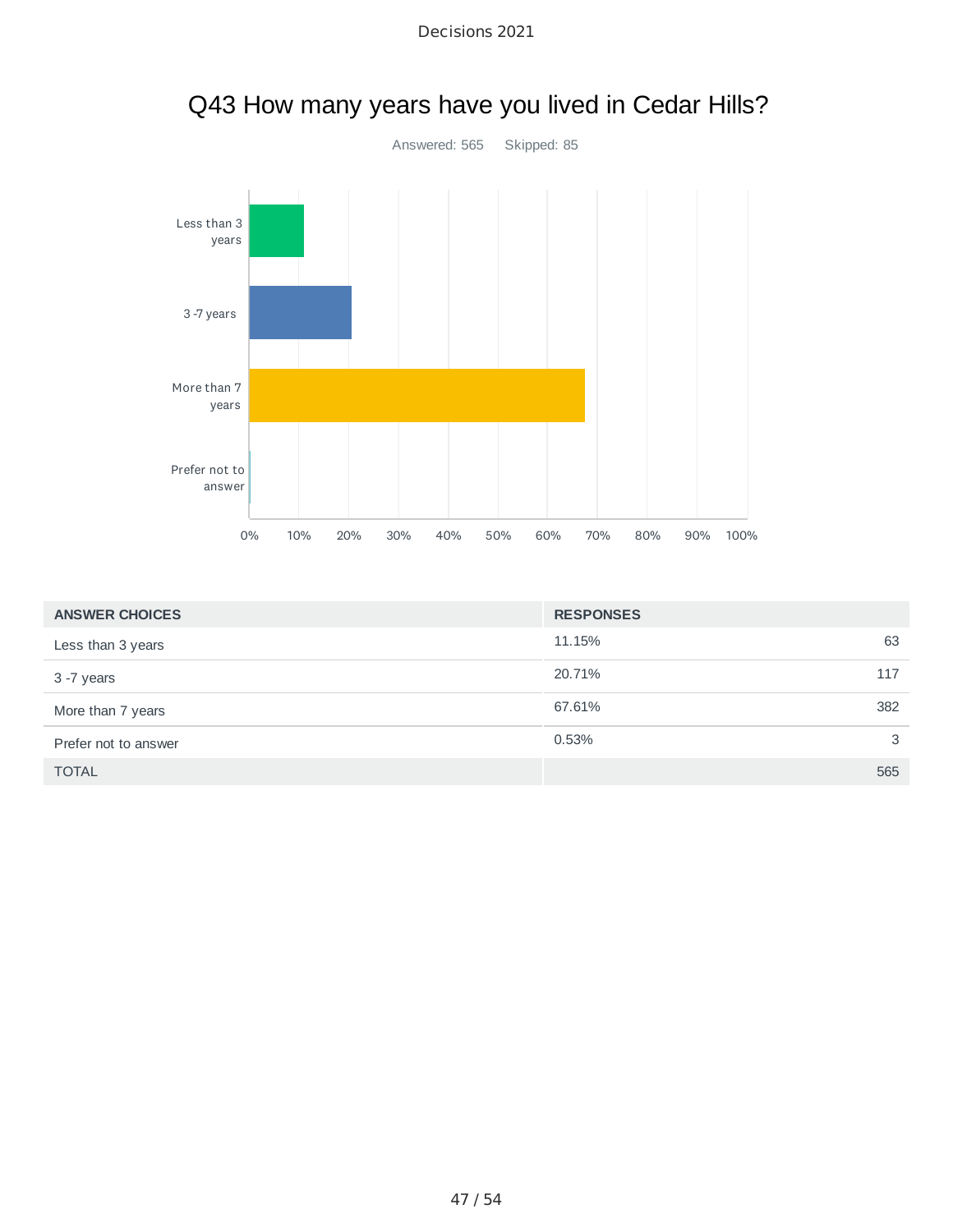



| Q43 How many years have you lived in Cedar Hills? |  |  |
|---------------------------------------------------|--|--|
|---------------------------------------------------|--|--|

| <b>ANSWER CHOICES</b> | <b>RESPONSES</b> |     |
|-----------------------|------------------|-----|
| Less than 3 years     | 11.15%           | 63  |
| 3 -7 years            | 20.71%           | 117 |
| More than 7 years     | 67.61%           | 382 |
| Prefer not to answer  | 0.53%            | 3   |
| <b>TOTAL</b>          |                  | 565 |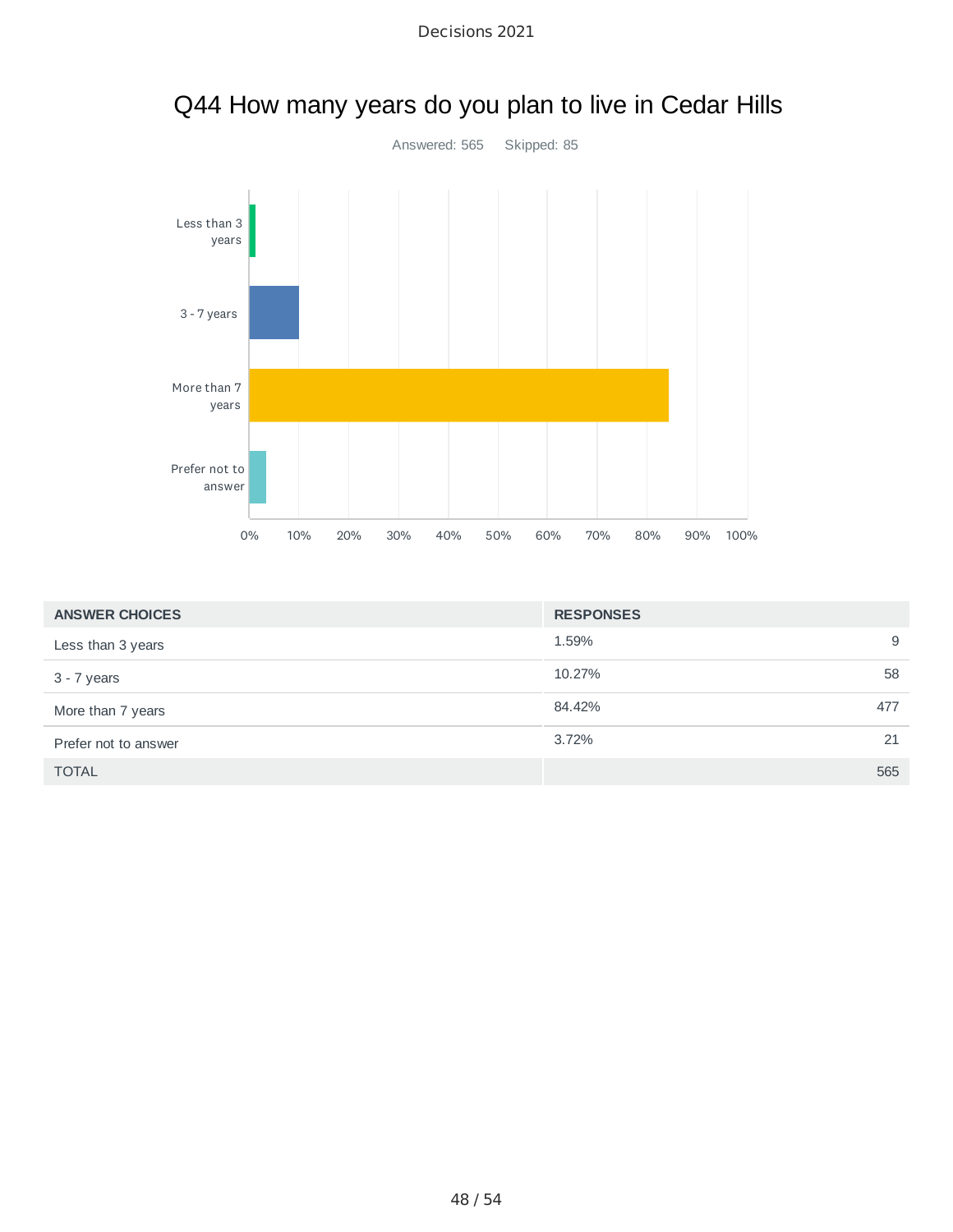

| Q44 How many years do you plan to live in Cedar Hills |  |  |
|-------------------------------------------------------|--|--|
|-------------------------------------------------------|--|--|

| <b>ANSWER CHOICES</b> | <b>RESPONSES</b> |    |
|-----------------------|------------------|----|
| Less than 3 years     | 1.59%            | 9  |
| 3 - 7 years           | 10.27%           | 58 |
| More than 7 years     | 84.42%<br>477    |    |
| Prefer not to answer  | 3.72%            | 21 |
| <b>TOTAL</b>          | 565              |    |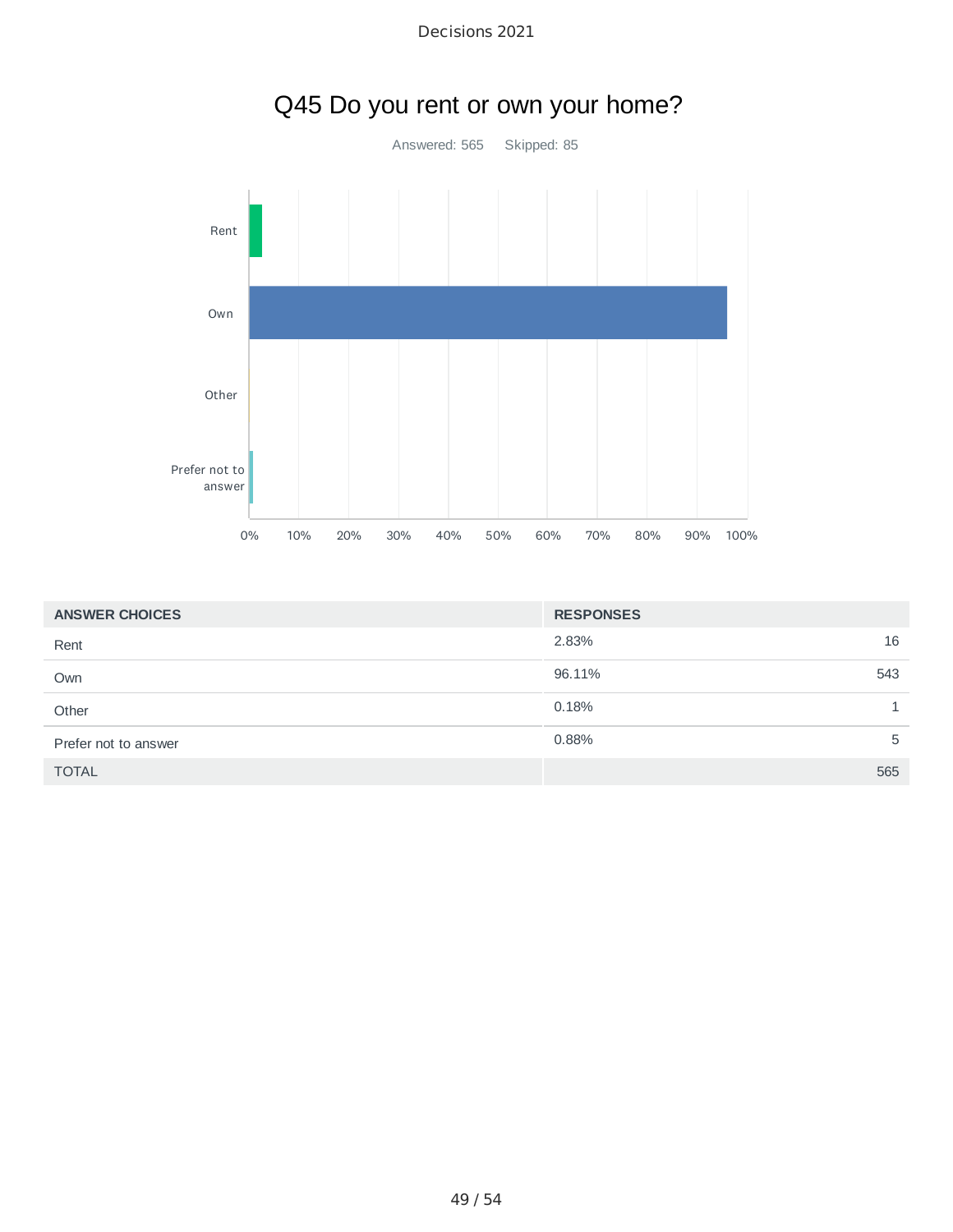

| Decisions 2021 |  |
|----------------|--|
|                |  |

| <b>ANSWER CHOICES</b> | <b>RESPONSES</b> |
|-----------------------|------------------|
| Rent                  | 2.83%<br>16      |
| Own                   | 96.11%<br>543    |
| Other                 | 0.18%            |
| Prefer not to answer  | 0.88%<br>5       |
| <b>TOTAL</b>          | 565              |

# Q45 Do you rent or own your home?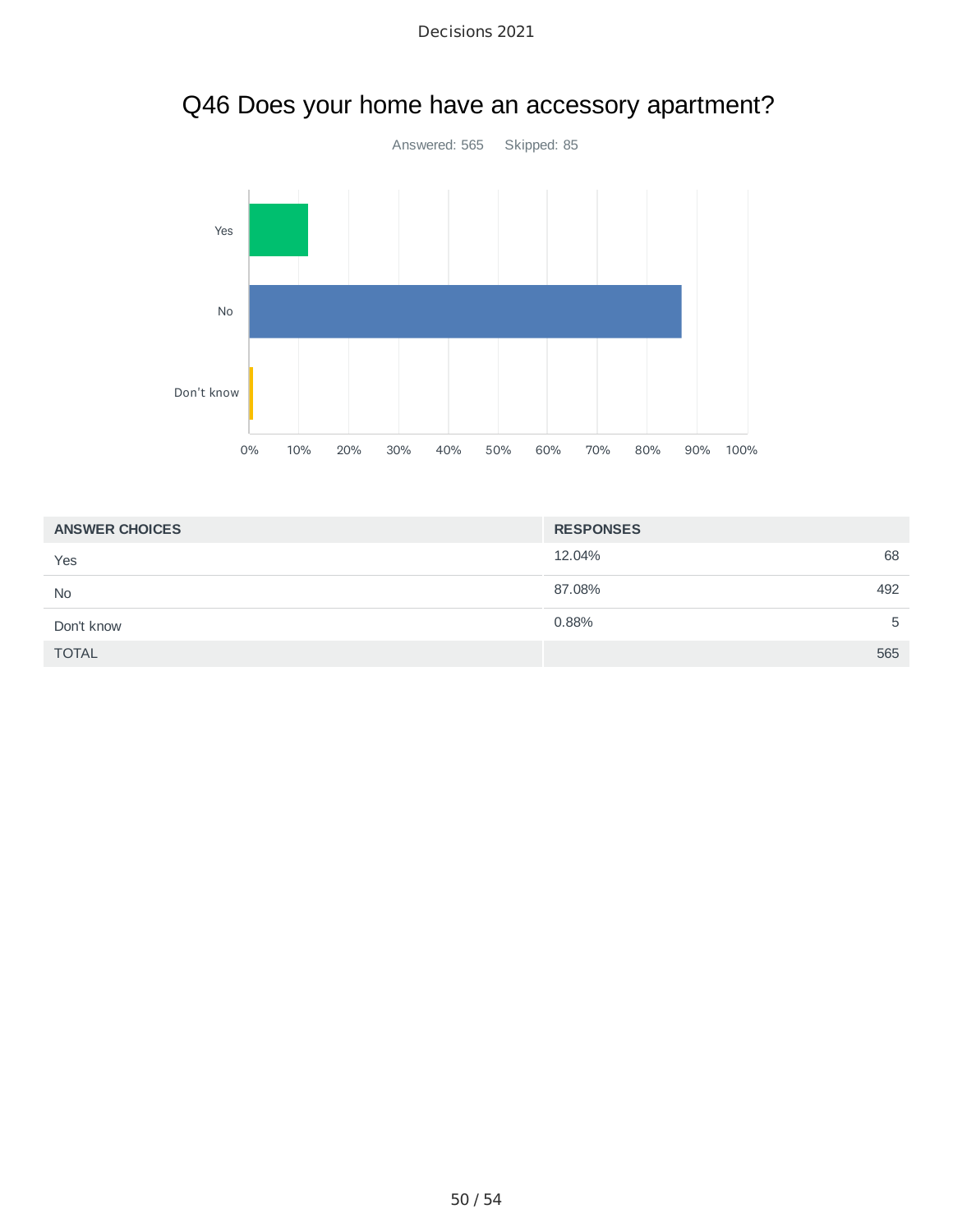



| <b>ANSWER CHOICES</b> | <b>RESPONSES</b> |
|-----------------------|------------------|
| Yes                   | 68<br>12.04%     |
| <b>No</b>             | 87.08%<br>492    |
| Don't know            | 0.88%<br>5       |
| <b>TOTAL</b>          | 565              |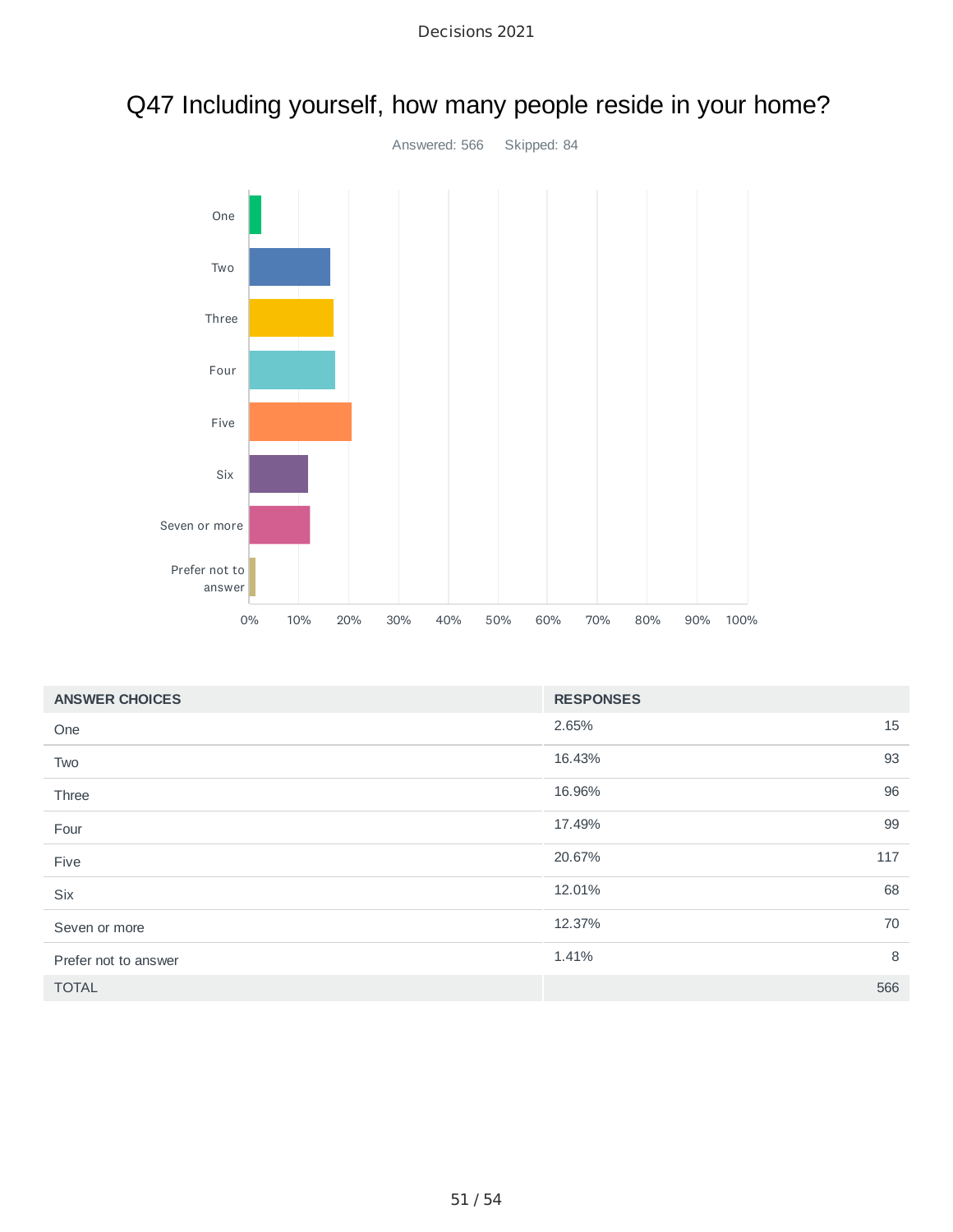

# Q47 Including yourself, how many people reside in your home?

| <b>ANSWER CHOICES</b> | <b>RESPONSES</b> |     |
|-----------------------|------------------|-----|
| One                   | 2.65%            | 15  |
| Two                   | 16.43%           | 93  |
| Three                 | 16.96%           | 96  |
| Four                  | 17.49%           | 99  |
| Five                  | 20.67%<br>117    |     |
| <b>Six</b>            | 12.01%           | 68  |
| Seven or more         | 12.37%           | 70  |
| Prefer not to answer  | 1.41%            | 8   |
| <b>TOTAL</b>          |                  | 566 |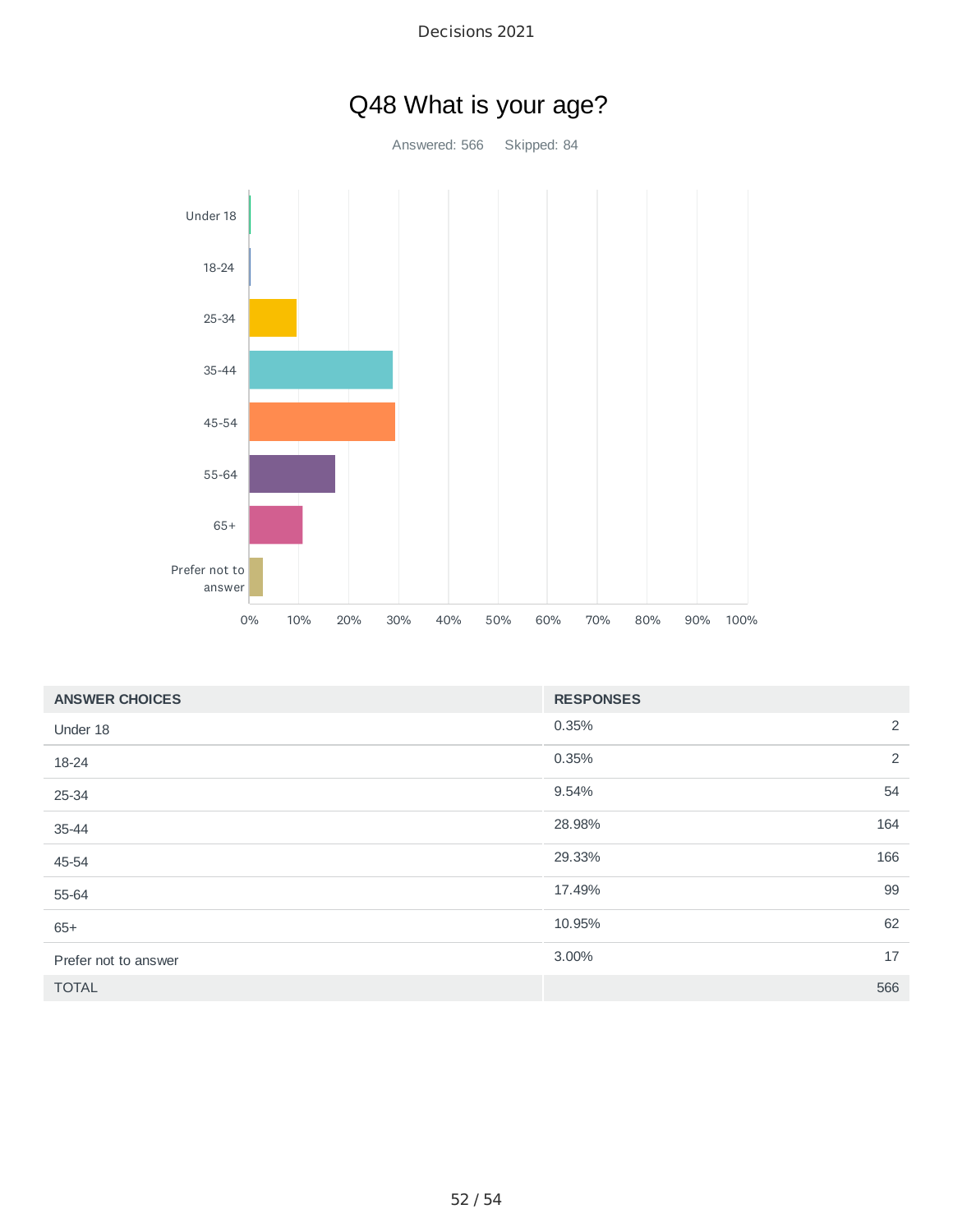

| <b>ANSWER CHOICES</b> | <b>RESPONSES</b> |
|-----------------------|------------------|
| Under 18              | 2<br>0.35%       |
| 18-24                 | 2<br>0.35%       |
| 25-34                 | 54<br>9.54%      |
| 35-44                 | 28.98%<br>164    |
| 45-54                 | 166<br>29.33%    |
| 55-64                 | 99<br>17.49%     |
| $65+$                 | 62<br>10.95%     |
| Prefer not to answer  | 17<br>3.00%      |
| <b>TOTAL</b>          | 566              |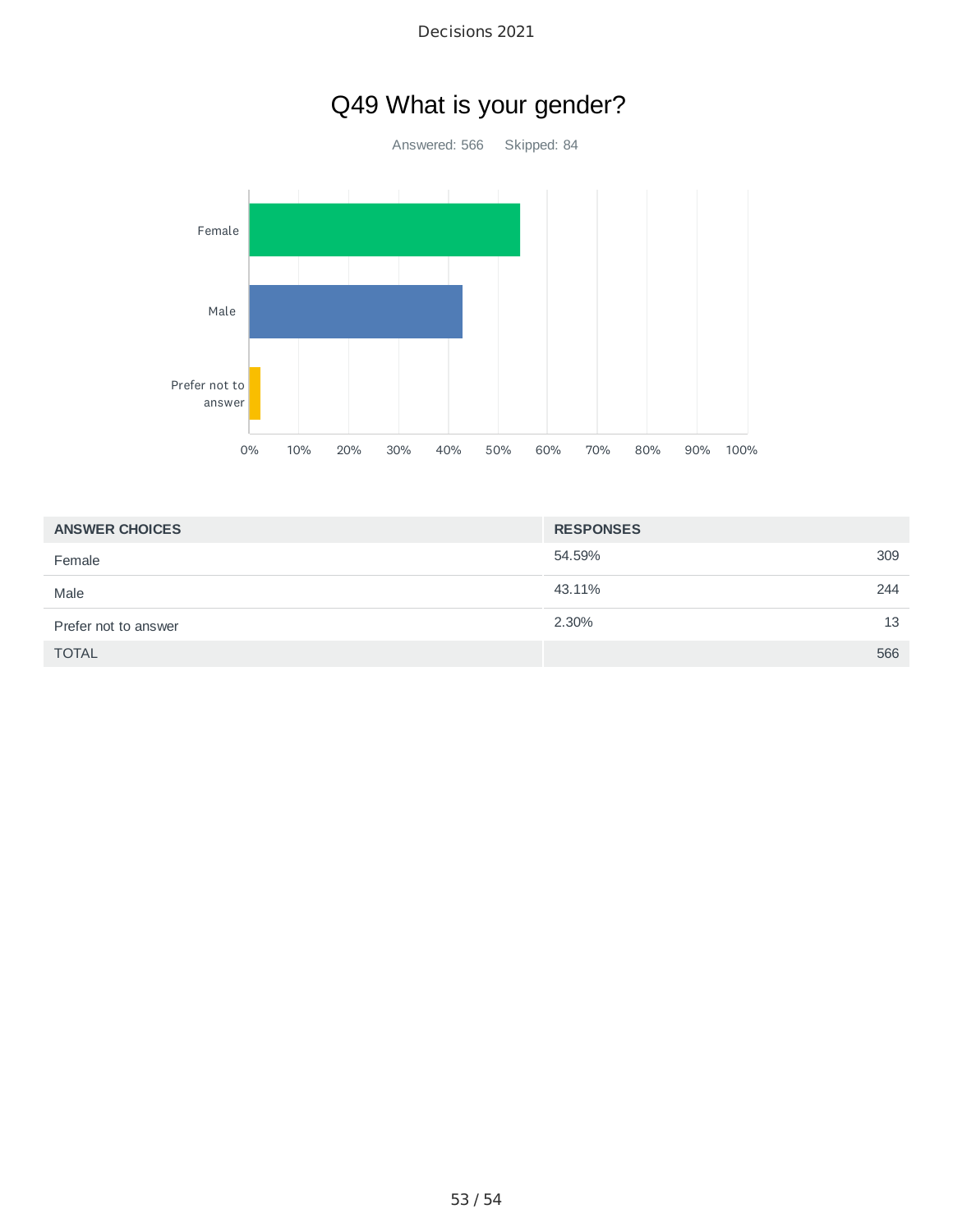# Q49 What is your gender?

Answered: 566 Skipped: 84



| <b>ANSWER CHOICES</b> | <b>RESPONSES</b> |  |
|-----------------------|------------------|--|
| Female                | 309<br>54.59%    |  |
| Male                  | 43.11%<br>244    |  |
| Prefer not to answer  | 2.30%<br>13      |  |
| <b>TOTAL</b>          | 566              |  |